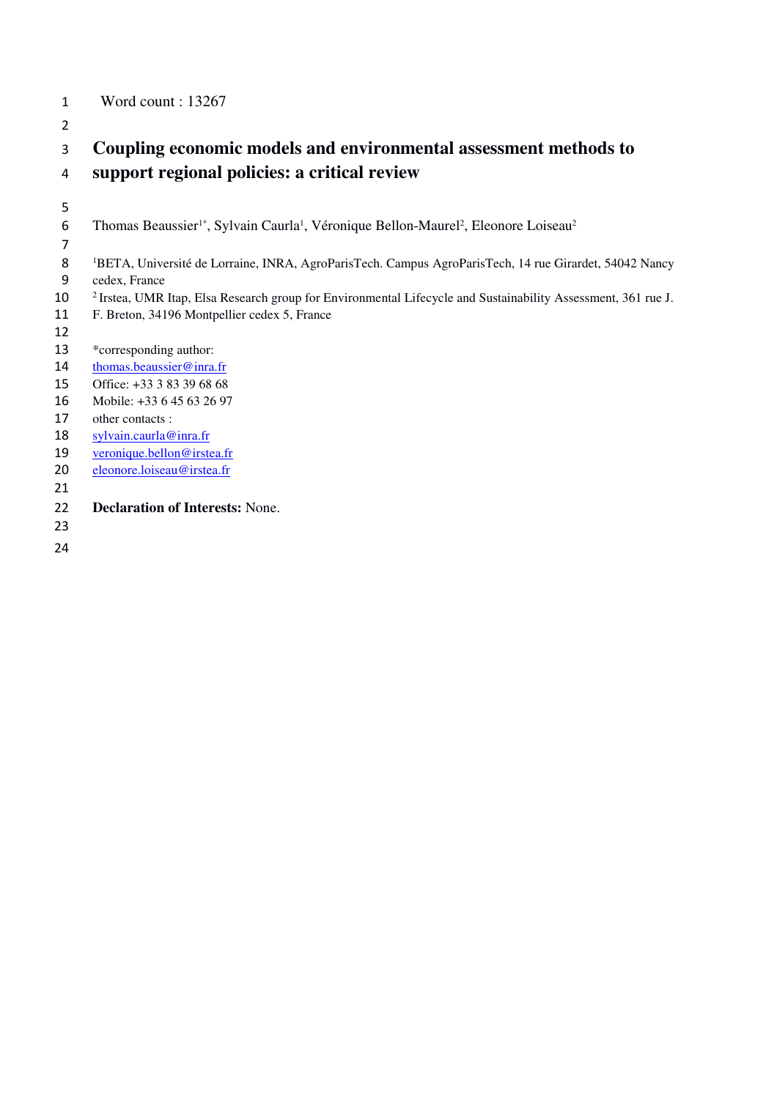# Word count : 13267

# **Coupling economic models and environmental assessment methods to support regional policies: a critical review**

6 Thomas Beaussier<sup>1\*</sup>, Sylvain Caurla<sup>1</sup>, Véronique Bellon-Maurel<sup>2</sup>, Eleonore Loiseau<sup>2</sup>

8 <sup>1</sup>BETA, Université de Lorraine, INRA, AgroParisTech. Campus AgroParisTech, 14 rue Girardet, 54042 Nancy

cedex, France

- <sup>2</sup>Irstea, UMR Itap, Elsa Research group for Environmental Lifecycle and Sustainability Assessment, 361 rue J.
- F. Breton, 34196 Montpellier cedex 5, France
- 
- \*corresponding author:
- thomas.beaussier@inra.fr
- Office: +33 3 83 39 68 68
- Mobile: +33 6 45 63 26 97
- other contacts :
- sylvain.caurla@inra.fr
- veronique.bellon@irstea.fr
- eleonore.loiseau@irstea.fr
- 
- **Declaration of Interests:** None.
- 
-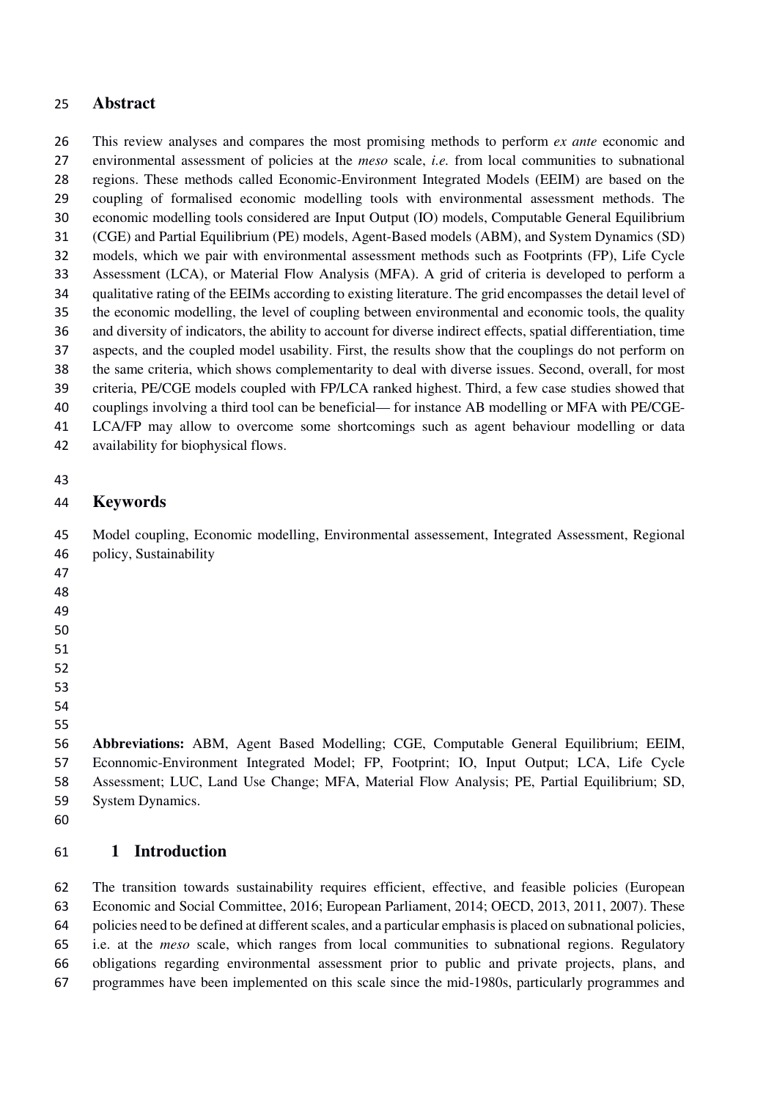# **Abstract**

This review analyses and compares the most promising methods to perform *ex ante* economic and environmental assessment of policies at the *meso* scale, *i.e.* from local communities to subnational regions. These methods called Economic-Environment Integrated Models (EEIM) are based on the coupling of formalised economic modelling tools with environmental assessment methods. The economic modelling tools considered are Input Output (IO) models, Computable General Equilibrium (CGE) and Partial Equilibrium (PE) models, Agent-Based models (ABM), and System Dynamics (SD) models, which we pair with environmental assessment methods such as Footprints (FP), Life Cycle Assessment (LCA), or Material Flow Analysis (MFA). A grid of criteria is developed to perform a qualitative rating of the EEIMs according to existing literature. The grid encompasses the detail level of the economic modelling, the level of coupling between environmental and economic tools, the quality and diversity of indicators, the ability to account for diverse indirect effects, spatial differentiation, time aspects, and the coupled model usability. First, the results show that the couplings do not perform on the same criteria, which shows complementarity to deal with diverse issues. Second, overall, for most criteria, PE/CGE models coupled with FP/LCA ranked highest. Third, a few case studies showed that couplings involving a third tool can be beneficial— for instance AB modelling or MFA with PE/CGE-LCA/FP may allow to overcome some shortcomings such as agent behaviour modelling or data availability for biophysical flows.

# **Keywords**

Model coupling, Economic modelling, Environmental assessement, Integrated Assessment, Regional policy, Sustainability

- 
- 
- 
- 
- 

 

**Abbreviations:** ABM, Agent Based Modelling; CGE, Computable General Equilibrium; EEIM, Econnomic-Environment Integrated Model; FP, Footprint; IO, Input Output; LCA, Life Cycle Assessment; LUC, Land Use Change; MFA, Material Flow Analysis; PE, Partial Equilibrium; SD, System Dynamics.

# **1 Introduction**

The transition towards sustainability requires efficient, effective, and feasible policies (European Economic and Social Committee, 2016; European Parliament, 2014; OECD, 2013, 2011, 2007). These policies need to be defined at different scales, and a particular emphasis is placed on subnational policies, i.e. at the *meso* scale, which ranges from local communities to subnational regions. Regulatory obligations regarding environmental assessment prior to public and private projects, plans, and programmes have been implemented on this scale since the mid-1980s, particularly programmes and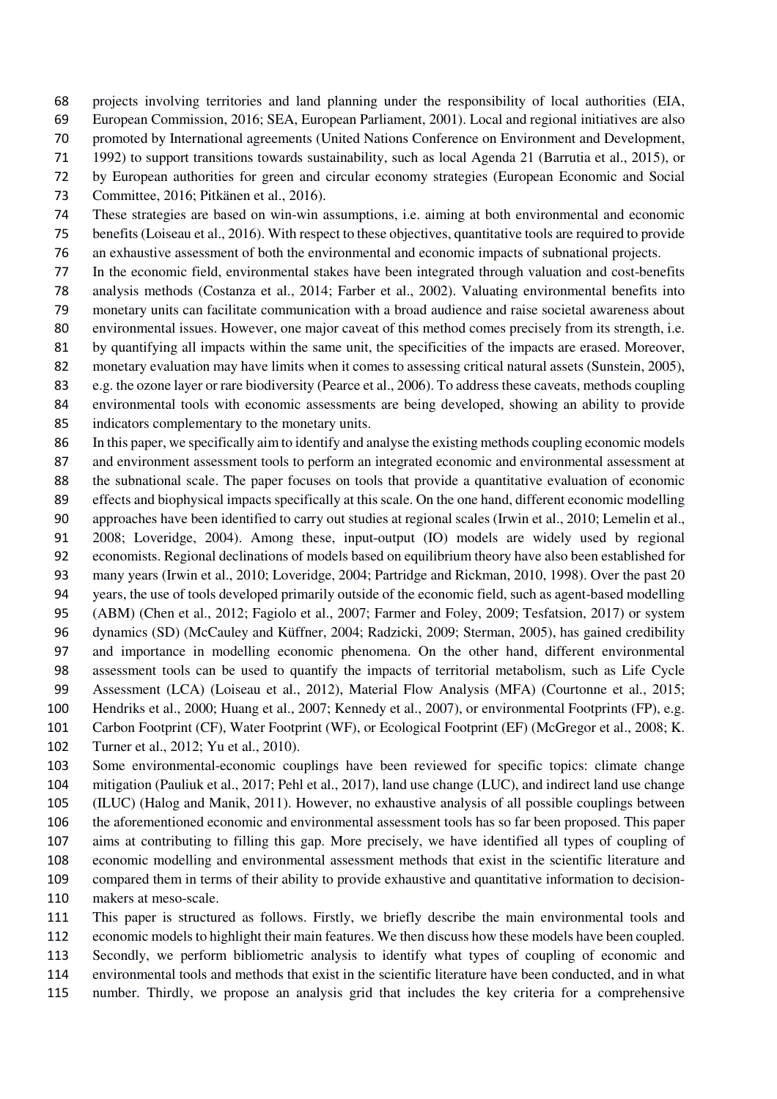projects involving territories and land planning under the responsibility of local authorities (EIA,

European Commission, 2016; SEA, European Parliament, 2001). Local and regional initiatives are also

promoted by International agreements (United Nations Conference on Environment and Development,

1992) to support transitions towards sustainability, such as local Agenda 21 (Barrutia et al., 2015), or

by European authorities for green and circular economy strategies (European Economic and Social

Committee, 2016; Pitkänen et al., 2016).

These strategies are based on win-win assumptions, i.e. aiming at both environmental and economic benefits (Loiseau et al., 2016). With respect to these objectives, quantitative tools are required to provide an exhaustive assessment of both the environmental and economic impacts of subnational projects.

In the economic field, environmental stakes have been integrated through valuation and cost-benefits

- analysis methods (Costanza et al., 2014; Farber et al., 2002). Valuating environmental benefits into
- monetary units can facilitate communication with a broad audience and raise societal awareness about

environmental issues. However, one major caveat of this method comes precisely from its strength, i.e.

- by quantifying all impacts within the same unit, the specificities of the impacts are erased. Moreover,
- monetary evaluation may have limits when it comes to assessing critical natural assets (Sunstein, 2005),

e.g. the ozone layer or rare biodiversity (Pearce et al., 2006). To address these caveats, methods coupling

environmental tools with economic assessments are being developed, showing an ability to provide

indicators complementary to the monetary units.

In this paper, we specifically aim to identify and analyse the existing methods coupling economic models and environment assessment tools to perform an integrated economic and environmental assessment at

the subnational scale. The paper focuses on tools that provide a quantitative evaluation of economic

effects and biophysical impacts specifically at this scale. On the one hand, different economic modelling

approaches have been identified to carry out studies at regional scales (Irwin et al., 2010; Lemelin et al.,

- 2008; Loveridge, 2004). Among these, input-output (IO) models are widely used by regional
- economists. Regional declinations of models based on equilibrium theory have also been established for
- many years (Irwin et al., 2010; Loveridge, 2004; Partridge and Rickman, 2010, 1998). Over the past 20
- years, the use of tools developed primarily outside of the economic field, such as agent-based modelling (ABM) (Chen et al., 2012; Fagiolo et al., 2007; Farmer and Foley, 2009; Tesfatsion, 2017) or system
- dynamics (SD) (McCauley and Küffner, 2004; Radzicki, 2009; Sterman, 2005), has gained credibility

and importance in modelling economic phenomena. On the other hand, different environmental

assessment tools can be used to quantify the impacts of territorial metabolism, such as Life Cycle Assessment (LCA) (Loiseau et al., 2012), Material Flow Analysis (MFA) (Courtonne et al., 2015;

Hendriks et al., 2000; Huang et al., 2007; Kennedy et al., 2007), or environmental Footprints (FP), e.g.

Carbon Footprint (CF), Water Footprint (WF), or Ecological Footprint (EF) (McGregor et al., 2008; K.

Turner et al., 2012; Yu et al., 2010).

Some environmental-economic couplings have been reviewed for specific topics: climate change mitigation (Pauliuk et al., 2017; Pehl et al., 2017), land use change (LUC), and indirect land use change (ILUC) (Halog and Manik, 2011). However, no exhaustive analysis of all possible couplings between the aforementioned economic and environmental assessment tools has so far been proposed. This paper aims at contributing to filling this gap. More precisely, we have identified all types of coupling of

economic modelling and environmental assessment methods that exist in the scientific literature and compared them in terms of their ability to provide exhaustive and quantitative information to decision-

makers at meso-scale.

This paper is structured as follows. Firstly, we briefly describe the main environmental tools and

economic models to highlight their main features. We then discuss how these models have been coupled.

Secondly, we perform bibliometric analysis to identify what types of coupling of economic and

environmental tools and methods that exist in the scientific literature have been conducted, and in what

number. Thirdly, we propose an analysis grid that includes the key criteria for a comprehensive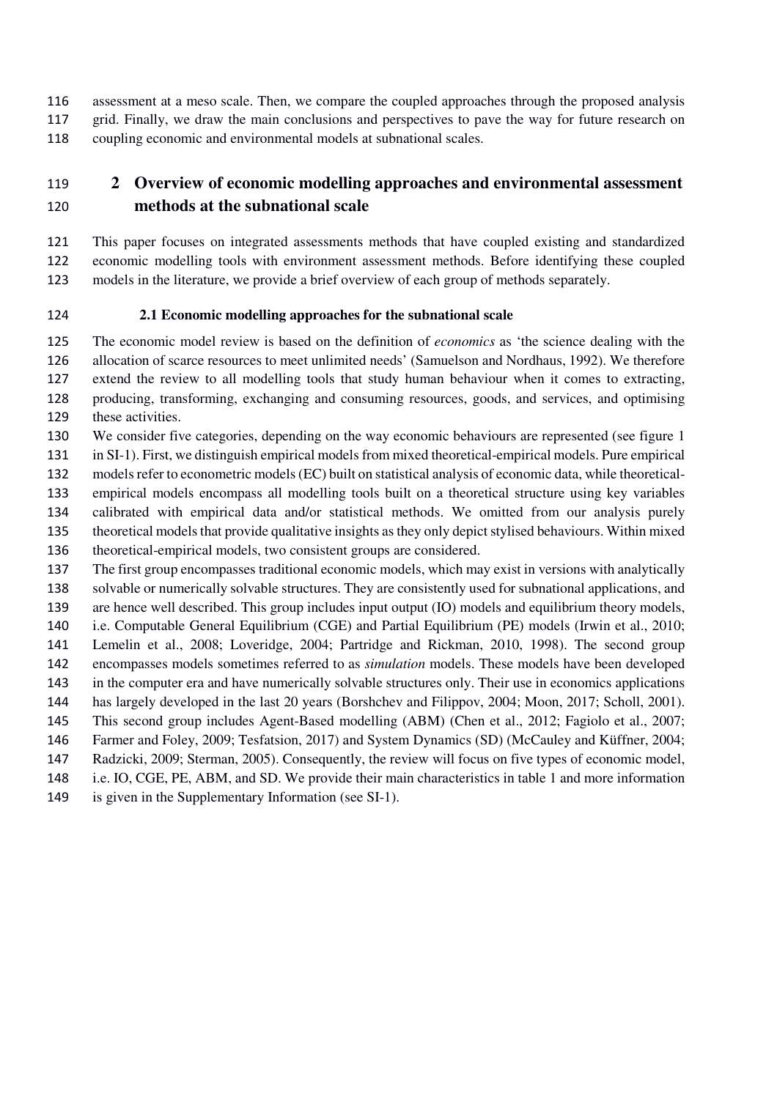assessment at a meso scale. Then, we compare the coupled approaches through the proposed analysis grid. Finally, we draw the main conclusions and perspectives to pave the way for future research on coupling economic and environmental models at subnational scales.

# **2 Overview of economic modelling approaches and environmental assessment methods at the subnational scale**

This paper focuses on integrated assessments methods that have coupled existing and standardized economic modelling tools with environment assessment methods. Before identifying these coupled models in the literature, we provide a brief overview of each group of methods separately.

**2.1 Economic modelling approaches for the subnational scale** 

The economic model review is based on the definition of *economics* as 'the science dealing with the allocation of scarce resources to meet unlimited needs' (Samuelson and Nordhaus, 1992). We therefore extend the review to all modelling tools that study human behaviour when it comes to extracting, producing, transforming, exchanging and consuming resources, goods, and services, and optimising these activities.

We consider five categories, depending on the way economic behaviours are represented (see figure 1 in SI-1). First, we distinguish empirical models from mixed theoretical-empirical models. Pure empirical models refer to econometric models (EC) built on statistical analysis of economic data, while theoretical-empirical models encompass all modelling tools built on a theoretical structure using key variables calibrated with empirical data and/or statistical methods. We omitted from our analysis purely theoretical models that provide qualitative insights as they only depict stylised behaviours. Within mixed theoretical-empirical models, two consistent groups are considered. The first group encompasses traditional economic models, which may exist in versions with analytically

solvable or numerically solvable structures. They are consistently used for subnational applications, and are hence well described. This group includes input output (IO) models and equilibrium theory models, i.e. Computable General Equilibrium (CGE) and Partial Equilibrium (PE) models (Irwin et al., 2010; Lemelin et al., 2008; Loveridge, 2004; Partridge and Rickman, 2010, 1998). The second group encompasses models sometimes referred to as *simulation* models. These models have been developed in the computer era and have numerically solvable structures only. Their use in economics applications has largely developed in the last 20 years (Borshchev and Filippov, 2004; Moon, 2017; Scholl, 2001). This second group includes Agent-Based modelling (ABM) (Chen et al., 2012; Fagiolo et al., 2007; Farmer and Foley, 2009; Tesfatsion, 2017) and System Dynamics (SD) (McCauley and Küffner, 2004;

Radzicki, 2009; Sterman, 2005). Consequently, the review will focus on five types of economic model,

i.e. IO, CGE, PE, ABM, and SD. We provide their main characteristics in table 1 and more information

is given in the Supplementary Information (see SI-1).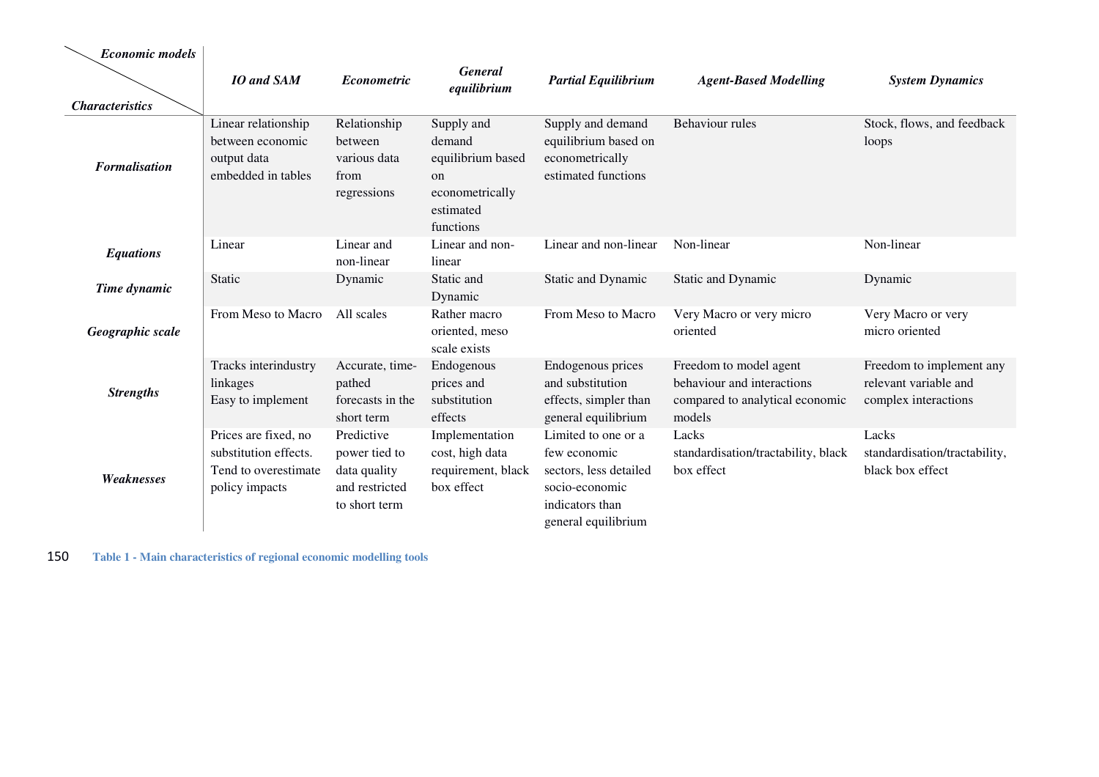| <b>Economic models</b> |                                                                                         |                                                                                                                                                         |                                                                                              |                                                                                                                           |                                                                                                   |                                                                           |  |  |
|------------------------|-----------------------------------------------------------------------------------------|---------------------------------------------------------------------------------------------------------------------------------------------------------|----------------------------------------------------------------------------------------------|---------------------------------------------------------------------------------------------------------------------------|---------------------------------------------------------------------------------------------------|---------------------------------------------------------------------------|--|--|
|                        | <b>IO</b> and SAM                                                                       | <b>General</b><br><b>Econometric</b><br>equilibrium                                                                                                     |                                                                                              | <b>Partial Equilibrium</b>                                                                                                | <b>Agent-Based Modelling</b>                                                                      | <b>System Dynamics</b>                                                    |  |  |
| <b>Characteristics</b> |                                                                                         |                                                                                                                                                         |                                                                                              |                                                                                                                           |                                                                                                   |                                                                           |  |  |
| <b>Formalisation</b>   | Linear relationship<br>between economic<br>output data<br>embedded in tables            | Relationship<br>between<br>various data<br>from<br>regressions                                                                                          | Supply and<br>demand<br>equilibrium based<br>on<br>econometrically<br>estimated<br>functions | Supply and demand<br>equilibrium based on<br>econometrically<br>estimated functions                                       | <b>Behaviour rules</b>                                                                            | Stock, flows, and feedback<br>loops                                       |  |  |
| <b>Equations</b>       | Linear                                                                                  | Linear and<br>non-linear                                                                                                                                | Linear and non-<br>linear                                                                    | Linear and non-linear                                                                                                     | Non-linear                                                                                        | Non-linear                                                                |  |  |
| Time dynamic           | <b>Static</b>                                                                           | Dynamic                                                                                                                                                 | Static and<br>Dynamic                                                                        | Static and Dynamic                                                                                                        | Static and Dynamic                                                                                | Dynamic                                                                   |  |  |
| Geographic scale       | From Meso to Macro                                                                      | All scales<br>Rather macro<br>oriented, meso<br>scale exists                                                                                            |                                                                                              | From Meso to Macro                                                                                                        | Very Macro or very micro<br>oriented                                                              | Very Macro or very<br>micro oriented                                      |  |  |
| <b>Strengths</b>       | Tracks interindustry<br>linkages<br>Easy to implement                                   | Accurate, time-<br>Endogenous<br>pathed<br>prices and<br>substitution<br>forecasts in the<br>effects<br>short term                                      |                                                                                              | Endogenous prices<br>and substitution<br>effects, simpler than<br>general equilibrium                                     | Freedom to model agent<br>behaviour and interactions<br>compared to analytical economic<br>models | Freedom to implement any<br>relevant variable and<br>complex interactions |  |  |
| Weaknesses             | Prices are fixed, no<br>substitution effects.<br>Tend to overestimate<br>policy impacts | Predictive<br>Implementation<br>power tied to<br>cost, high data<br>requirement, black<br>data quality<br>and restricted<br>box effect<br>to short term |                                                                                              | Limited to one or a<br>few economic<br>sectors, less detailed<br>socio-economic<br>indicators than<br>general equilibrium | Lacks<br>standardisation/tractability, black<br>box effect                                        | Lacks<br>standardisation/tractability,<br>black box effect                |  |  |

150 **Table 1 - Main characteristics of regional economic modelling tools**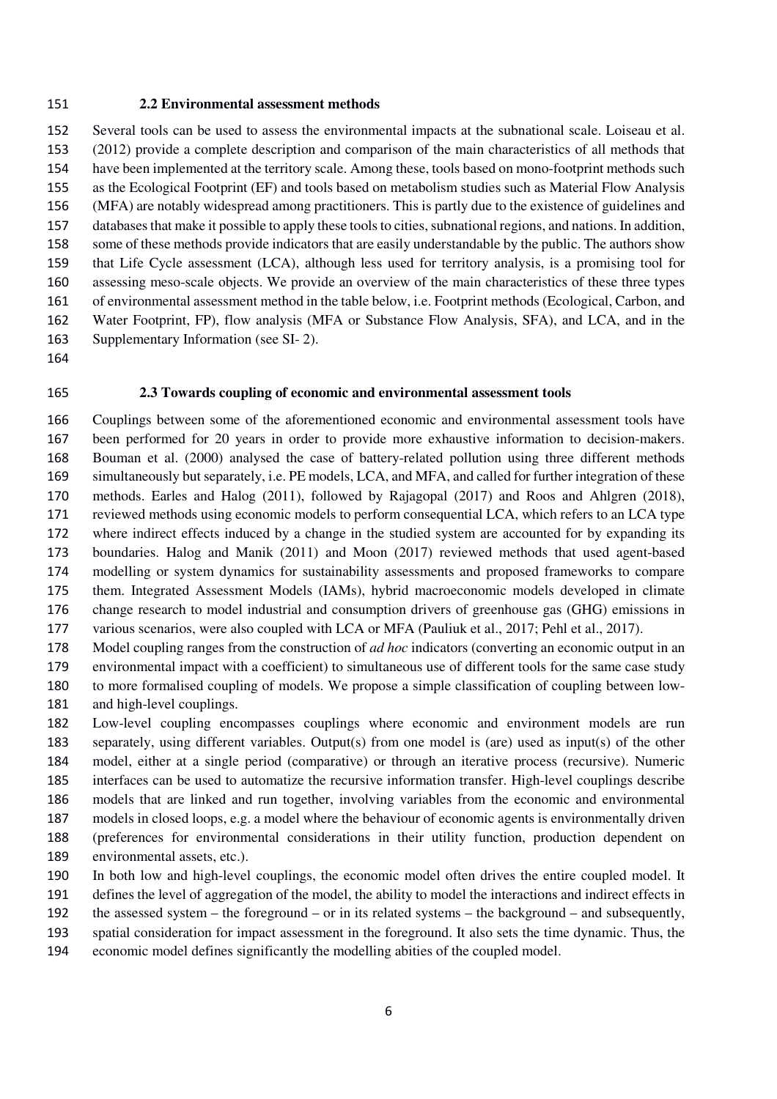#### **2.2 Environmental assessment methods**

Several tools can be used to assess the environmental impacts at the subnational scale. Loiseau et al. (2012) provide a complete description and comparison of the main characteristics of all methods that have been implemented at the territory scale. Among these, tools based on mono-footprint methods such as the Ecological Footprint (EF) and tools based on metabolism studies such as Material Flow Analysis (MFA) are notably widespread among practitioners. This is partly due to the existence of guidelines and databases that make it possible to apply these tools to cities, subnational regions, and nations. In addition, some of these methods provide indicators that are easily understandable by the public. The authors show that Life Cycle assessment (LCA), although less used for territory analysis, is a promising tool for assessing meso-scale objects. We provide an overview of the main characteristics of these three types of environmental assessment method in the table below, i.e. Footprint methods (Ecological, Carbon, and Water Footprint, FP), flow analysis (MFA or Substance Flow Analysis, SFA), and LCA, and in the Supplementary Information (see SI- 2).

#### **2.3 Towards coupling of economic and environmental assessment tools**

Couplings between some of the aforementioned economic and environmental assessment tools have been performed for 20 years in order to provide more exhaustive information to decision-makers. Bouman et al. (2000) analysed the case of battery-related pollution using three different methods simultaneously but separately, i.e. PE models, LCA, and MFA, and called for further integration of these methods. Earles and Halog (2011), followed by Rajagopal (2017) and Roos and Ahlgren (2018), reviewed methods using economic models to perform consequential LCA, which refers to an LCA type where indirect effects induced by a change in the studied system are accounted for by expanding its boundaries. Halog and Manik (2011) and Moon (2017) reviewed methods that used agent-based modelling or system dynamics for sustainability assessments and proposed frameworks to compare them. Integrated Assessment Models (IAMs), hybrid macroeconomic models developed in climate change research to model industrial and consumption drivers of greenhouse gas (GHG) emissions in 177 various scenarios, were also coupled with LCA or MFA (Pauliuk et al., 2017; Pehl et al., 2017).

Model coupling ranges from the construction of *ad hoc* indicators (converting an economic output in an environmental impact with a coefficient) to simultaneous use of different tools for the same case study to more formalised coupling of models. We propose a simple classification of coupling between low-and high-level couplings.

Low-level coupling encompasses couplings where economic and environment models are run separately, using different variables. Output(s) from one model is (are) used as input(s) of the other model, either at a single period (comparative) or through an iterative process (recursive). Numeric interfaces can be used to automatize the recursive information transfer. High-level couplings describe models that are linked and run together, involving variables from the economic and environmental models in closed loops, e.g. a model where the behaviour of economic agents is environmentally driven (preferences for environmental considerations in their utility function, production dependent on environmental assets, etc.).

In both low and high-level couplings, the economic model often drives the entire coupled model. It

defines the level of aggregation of the model, the ability to model the interactions and indirect effects in

the assessed system – the foreground – or in its related systems – the background – and subsequently,

spatial consideration for impact assessment in the foreground. It also sets the time dynamic. Thus, the

economic model defines significantly the modelling abities of the coupled model.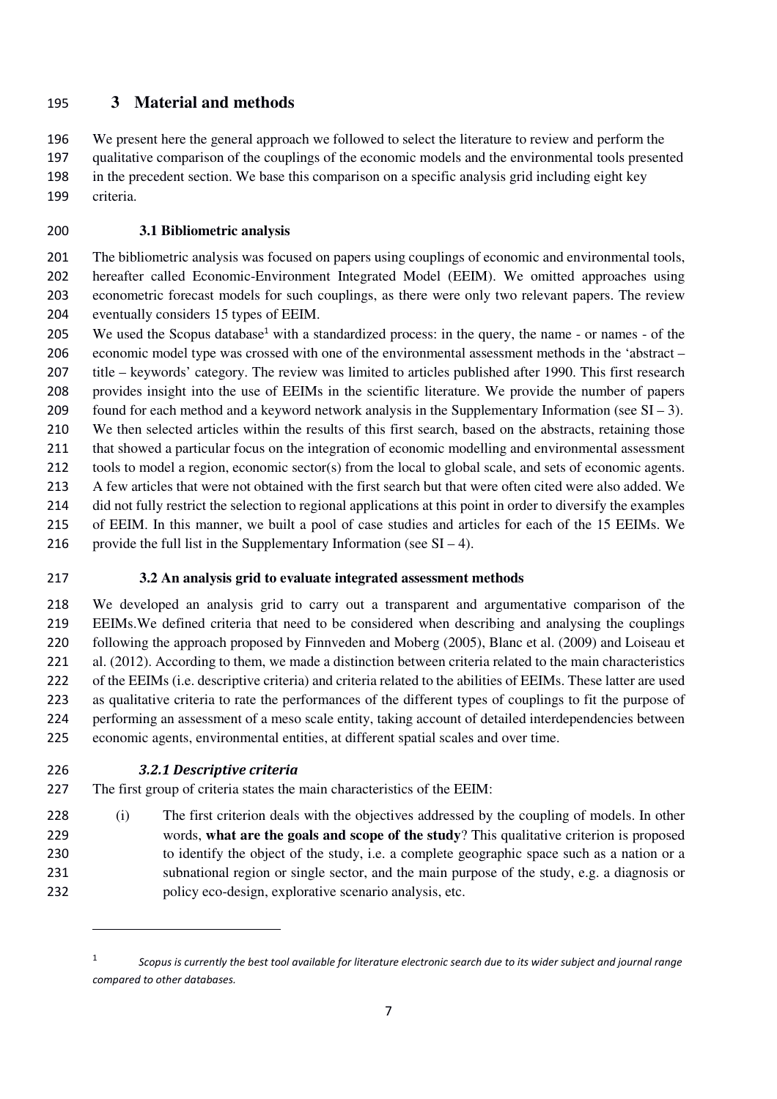# **3 Material and methods**

We present here the general approach we followed to select the literature to review and perform the qualitative comparison of the couplings of the economic models and the environmental tools presented in the precedent section. We base this comparison on a specific analysis grid including eight key criteria.

# **3.1 Bibliometric analysis**

The bibliometric analysis was focused on papers using couplings of economic and environmental tools, hereafter called Economic-Environment Integrated Model (EEIM). We omitted approaches using econometric forecast models for such couplings, as there were only two relevant papers. The review eventually considers 15 types of EEIM.

205 We used the Scopus database<sup>1</sup> with a standardized process: in the query, the name - or names - of the economic model type was crossed with one of the environmental assessment methods in the 'abstract – title – keywords' category. The review was limited to articles published after 1990. This first research provides insight into the use of EEIMs in the scientific literature. We provide the number of papers 209 found for each method and a keyword network analysis in the Supplementary Information (see  $SI - 3$ ). We then selected articles within the results of this first search, based on the abstracts, retaining those that showed a particular focus on the integration of economic modelling and environmental assessment tools to model a region, economic sector(s) from the local to global scale, and sets of economic agents. A few articles that were not obtained with the first search but that were often cited were also added. We did not fully restrict the selection to regional applications at this point in order to diversify the examples of EEIM. In this manner, we built a pool of case studies and articles for each of the 15 EEIMs. We

216 provide the full list in the Supplementary Information (see  $SI - 4$ ).

### **3.2 An analysis grid to evaluate integrated assessment methods**

We developed an analysis grid to carry out a transparent and argumentative comparison of the EEIMs.We defined criteria that need to be considered when describing and analysing the couplings following the approach proposed by Finnveden and Moberg (2005), Blanc et al. (2009) and Loiseau et al. (2012). According to them, we made a distinction between criteria related to the main characteristics 222 of the EEIMs (i.e. descriptive criteria) and criteria related to the abilities of EEIMs. These latter are used as qualitative criteria to rate the performances of the different types of couplings to fit the purpose of performing an assessment of a meso scale entity, taking account of detailed interdependencies between economic agents, environmental entities, at different spatial scales and over time.

*3.2.1 Descriptive criteria* 

 $\overline{a}$ 

- The first group of criteria states the main characteristics of the EEIM:
- (i) The first criterion deals with the objectives addressed by the coupling of models. In other words, **what are the goals and scope of the study**? This qualitative criterion is proposed to identify the object of the study, i.e. a complete geographic space such as a nation or a subnational region or single sector, and the main purpose of the study, e.g. a diagnosis or policy eco-design, explorative scenario analysis, etc.

*Scopus is currently the best tool available for literature electronic search due to its wider subject and journal range compared to other databases.*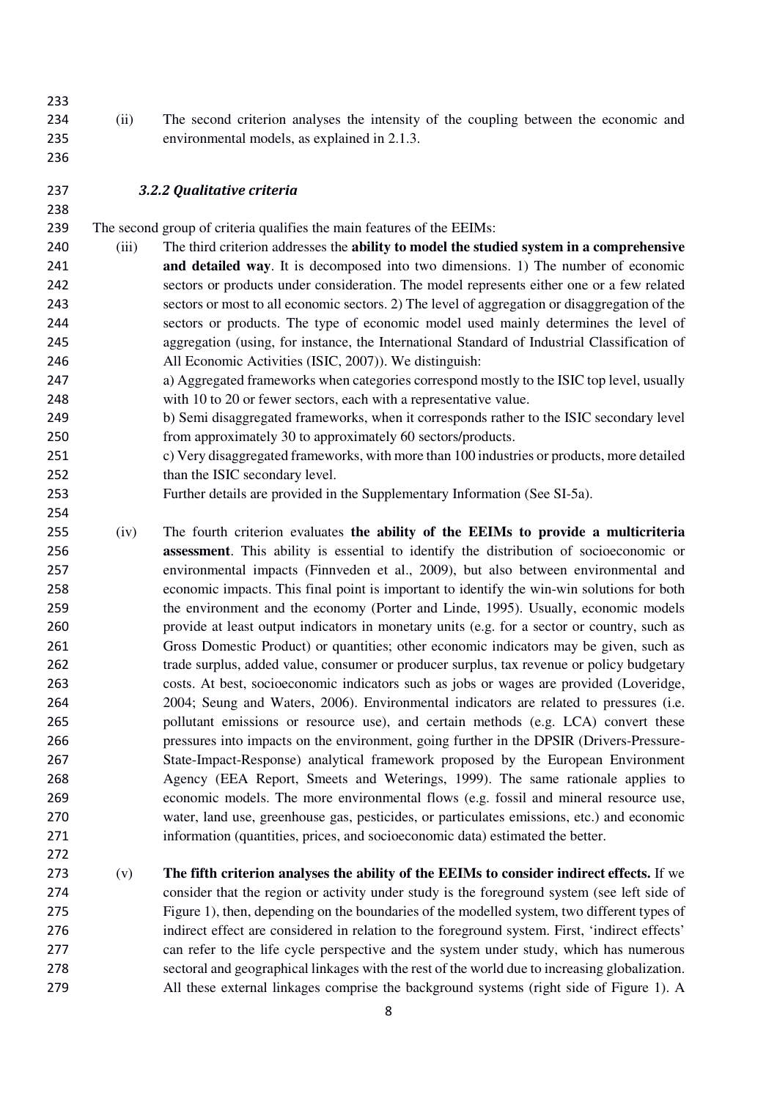- (ii) The second criterion analyses the intensity of the coupling between the economic and environmental models, as explained in 2.1.3. *3.2.2 Qualitative criteria*  The second group of criteria qualifies the main features of the EEIMs: (iii) The third criterion addresses the **ability to model the studied system in a comprehensive and detailed way**. It is decomposed into two dimensions. 1) The number of economic sectors or products under consideration. The model represents either one or a few related sectors or most to all economic sectors. 2) The level of aggregation or disaggregation of the sectors or products. The type of economic model used mainly determines the level of aggregation (using, for instance, the International Standard of Industrial Classification of All Economic Activities (ISIC, 2007)). We distinguish: a) Aggregated frameworks when categories correspond mostly to the ISIC top level, usually with 10 to 20 or fewer sectors, each with a representative value. 249 b) Semi disaggregated frameworks, when it corresponds rather to the ISIC secondary level from approximately 30 to approximately 60 sectors/products. c) Very disaggregated frameworks, with more than 100 industries or products, more detailed than the ISIC secondary level. Further details are provided in the Supplementary Information (See SI-5a). (iv) The fourth criterion evaluates **the ability of the EEIMs to provide a multicriteria assessment**. This ability is essential to identify the distribution of socioeconomic or environmental impacts (Finnveden et al., 2009), but also between environmental and economic impacts. This final point is important to identify the win-win solutions for both the environment and the economy (Porter and Linde, 1995). Usually, economic models provide at least output indicators in monetary units (e.g. for a sector or country, such as Gross Domestic Product) or quantities; other economic indicators may be given, such as trade surplus, added value, consumer or producer surplus, tax revenue or policy budgetary costs. At best, socioeconomic indicators such as jobs or wages are provided (Loveridge, 2004; Seung and Waters, 2006). Environmental indicators are related to pressures (i.e. pollutant emissions or resource use), and certain methods (e.g. LCA) convert these pressures into impacts on the environment, going further in the DPSIR (Drivers-Pressure-State-Impact-Response) analytical framework proposed by the European Environment Agency (EEA Report, Smeets and Weterings, 1999). The same rationale applies to economic models. The more environmental flows (e.g. fossil and mineral resource use, water, land use, greenhouse gas, pesticides, or particulates emissions, etc.) and economic information (quantities, prices, and socioeconomic data) estimated the better. (v) **The fifth criterion analyses the ability of the EEIMs to consider indirect effects.** If we consider that the region or activity under study is the foreground system (see left side of Figure 1), then, depending on the boundaries of the modelled system, two different types of indirect effect are considered in relation to the foreground system. First, 'indirect effects' can refer to the life cycle perspective and the system under study, which has numerous
- sectoral and geographical linkages with the rest of the world due to increasing globalization. All these external linkages comprise the background systems (right side of Figure 1). A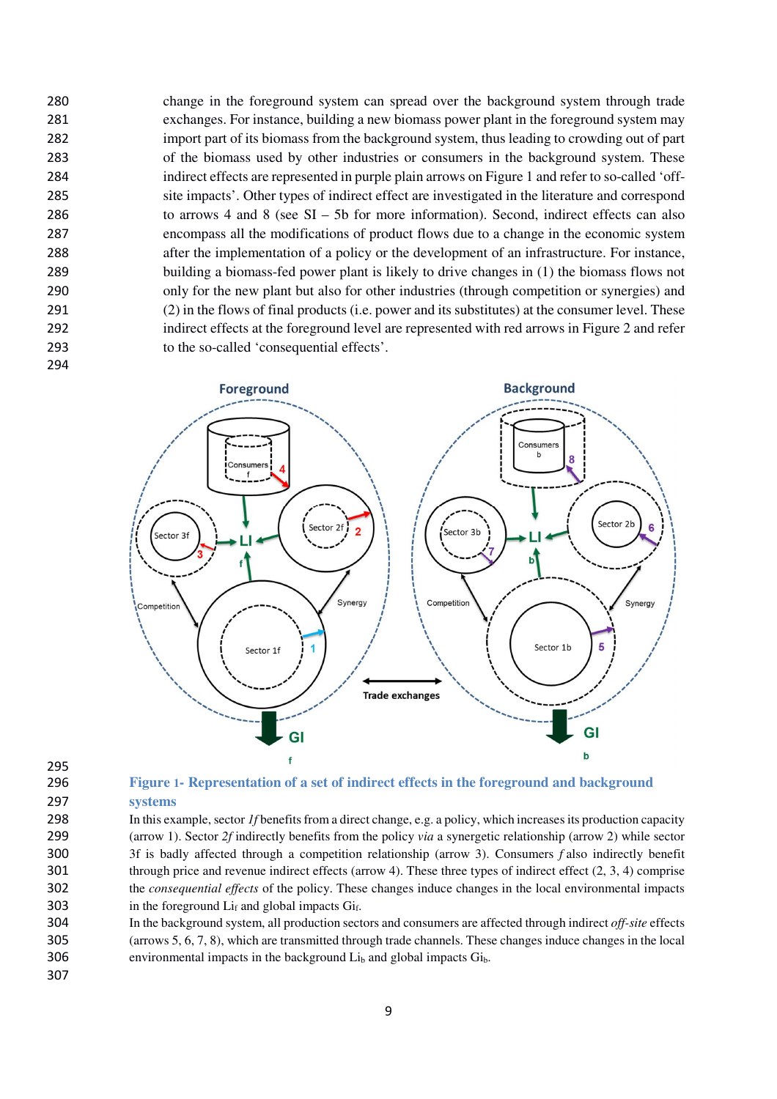change in the foreground system can spread over the background system through trade exchanges. For instance, building a new biomass power plant in the foreground system may import part of its biomass from the background system, thus leading to crowding out of part of the biomass used by other industries or consumers in the background system. These indirect effects are represented in purple plain arrows on Figure 1 and refer to so-called 'off-site impacts'. Other types of indirect effect are investigated in the literature and correspond to arrows 4 and 8 (see SI – 5b for more information). Second, indirect effects can also encompass all the modifications of product flows due to a change in the economic system after the implementation of a policy or the development of an infrastructure. For instance, building a biomass-fed power plant is likely to drive changes in (1) the biomass flows not only for the new plant but also for other industries (through competition or synergies) and (2) in the flows of final products (i.e. power and its substitutes) at the consumer level. These indirect effects at the foreground level are represented with red arrows in Figure 2 and refer to the so-called 'consequential effects'. 



| 295 |                                                                                                                         |
|-----|-------------------------------------------------------------------------------------------------------------------------|
| 296 | Figure 1- Representation of a set of indirect effects in the foreground and background                                  |
| 297 | systems                                                                                                                 |
| 298 | In this example, sector <i>If</i> benefits from a direct change, e.g. a policy, which increases its production capacity |
| 299 | (arrow 1). Sector 2f indirectly benefits from the policy via a synergetic relationship (arrow 2) while sector           |
| 300 | 3f is badly affected through a competition relationship (arrow 3). Consumers $f$ also indirectly benefit                |
| 301 | through price and revenue indirect effects (arrow 4). These three types of indirect effect $(2, 3, 4)$ comprise         |
| 302 | the <i>consequential effects</i> of the policy. These changes induce changes in the local environmental impacts         |
| 303 | in the foreground Lif and global impacts Gif.                                                                           |
| 304 | In the background system, all production sectors and consumers are affected through indirect off-site effects           |
| 305 | (arrows 5, 6, 7, 8), which are transmitted through trade channels. These changes induce changes in the local            |
| 306 | environmental impacts in the background $Lib$ and global impacts $Gib$ .                                                |
| 307 |                                                                                                                         |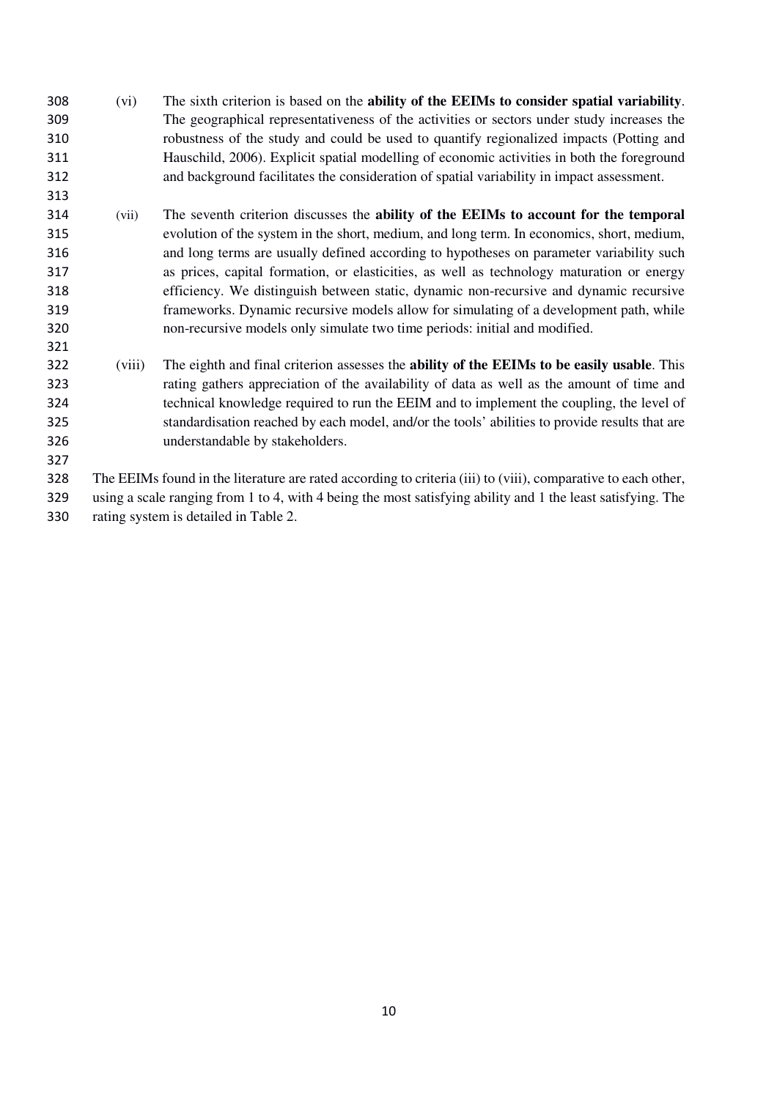(vi) The sixth criterion is based on the **ability of the EEIMs to consider spatial variability**. The geographical representativeness of the activities or sectors under study increases the robustness of the study and could be used to quantify regionalized impacts (Potting and Hauschild, 2006). Explicit spatial modelling of economic activities in both the foreground and background facilitates the consideration of spatial variability in impact assessment.

- (vii) The seventh criterion discusses the **ability of the EEIMs to account for the temporal**  evolution of the system in the short, medium, and long term. In economics, short, medium, and long terms are usually defined according to hypotheses on parameter variability such as prices, capital formation, or elasticities, as well as technology maturation or energy efficiency. We distinguish between static, dynamic non-recursive and dynamic recursive frameworks. Dynamic recursive models allow for simulating of a development path, while non-recursive models only simulate two time periods: initial and modified.
- (viii) The eighth and final criterion assesses the **ability of the EEIMs to be easily usable**. This rating gathers appreciation of the availability of data as well as the amount of time and technical knowledge required to run the EEIM and to implement the coupling, the level of standardisation reached by each model, and/or the tools' abilities to provide results that are understandable by stakeholders.

The EEIMs found in the literature are rated according to criteria (iii) to (viii), comparative to each other, using a scale ranging from 1 to 4, with 4 being the most satisfying ability and 1 the least satisfying. The rating system is detailed in Table 2.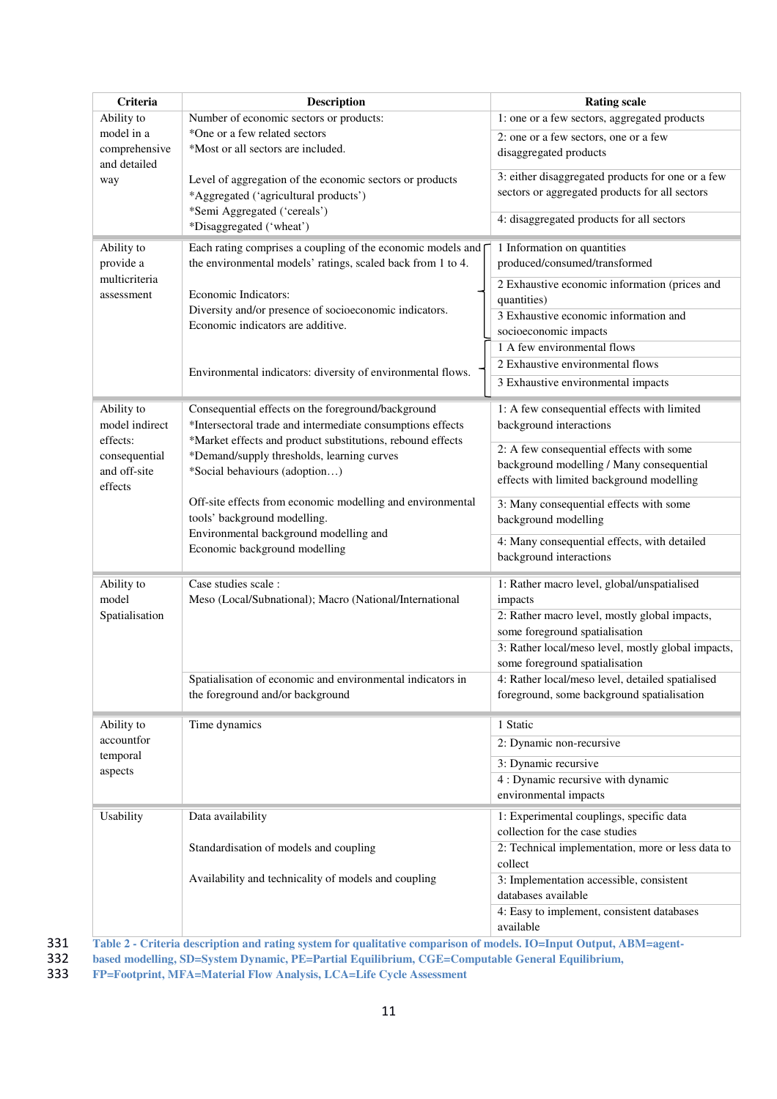| Criteria                      | <b>Description</b>                                                                          | <b>Rating scale</b>                                                                  |  |  |  |  |  |
|-------------------------------|---------------------------------------------------------------------------------------------|--------------------------------------------------------------------------------------|--|--|--|--|--|
| Ability to                    | Number of economic sectors or products:                                                     | 1: one or a few sectors, aggregated products                                         |  |  |  |  |  |
| model in a<br>comprehensive   | *One or a few related sectors<br>*Most or all sectors are included.                         | 2: one or a few sectors, one or a few<br>disaggregated products                      |  |  |  |  |  |
| and detailed                  |                                                                                             |                                                                                      |  |  |  |  |  |
| way                           | Level of aggregation of the economic sectors or products                                    | 3: either disaggregated products for one or a few                                    |  |  |  |  |  |
|                               | *Aggregated ('agricultural products')                                                       | sectors or aggregated products for all sectors                                       |  |  |  |  |  |
|                               | *Semi Aggregated ('cereals')<br>*Disaggregated ('wheat')                                    | 4: disaggregated products for all sectors                                            |  |  |  |  |  |
| Ability to                    | Each rating comprises a coupling of the economic models and                                 | 1 Information on quantities                                                          |  |  |  |  |  |
| provide a                     | the environmental models' ratings, scaled back from 1 to 4.                                 | produced/consumed/transformed                                                        |  |  |  |  |  |
| multicriteria                 |                                                                                             | 2 Exhaustive economic information (prices and                                        |  |  |  |  |  |
| assessment                    | Economic Indicators:                                                                        | quantities)                                                                          |  |  |  |  |  |
|                               | Diversity and/or presence of socioeconomic indicators.<br>Economic indicators are additive. | 3 Exhaustive economic information and                                                |  |  |  |  |  |
|                               |                                                                                             | socioeconomic impacts                                                                |  |  |  |  |  |
|                               |                                                                                             | 1 A few environmental flows                                                          |  |  |  |  |  |
|                               | Environmental indicators: diversity of environmental flows.                                 | 2 Exhaustive environmental flows                                                     |  |  |  |  |  |
|                               |                                                                                             | 3 Exhaustive environmental impacts                                                   |  |  |  |  |  |
| Ability to                    | Consequential effects on the foreground/background                                          | 1: A few consequential effects with limited                                          |  |  |  |  |  |
| model indirect                | *Intersectoral trade and intermediate consumptions effects                                  | background interactions                                                              |  |  |  |  |  |
| effects:                      | *Market effects and product substitutions, rebound effects                                  | 2: A few consequential effects with some                                             |  |  |  |  |  |
| consequential<br>and off-site | *Demand/supply thresholds, learning curves<br>*Social behaviours (adoption)                 | background modelling / Many consequential                                            |  |  |  |  |  |
| effects                       |                                                                                             | effects with limited background modelling                                            |  |  |  |  |  |
|                               | Off-site effects from economic modelling and environmental                                  | 3: Many consequential effects with some                                              |  |  |  |  |  |
|                               | tools' background modelling.                                                                | background modelling                                                                 |  |  |  |  |  |
|                               | Environmental background modelling and                                                      | 4: Many consequential effects, with detailed                                         |  |  |  |  |  |
|                               | Economic background modelling                                                               | background interactions                                                              |  |  |  |  |  |
| Ability to                    | Case studies scale:                                                                         | 1: Rather macro level, global/unspatialised                                          |  |  |  |  |  |
| model                         | Meso (Local/Subnational); Macro (National/International                                     | impacts                                                                              |  |  |  |  |  |
| Spatialisation                |                                                                                             | 2: Rather macro level, mostly global impacts,                                        |  |  |  |  |  |
|                               |                                                                                             | some foreground spatialisation<br>3: Rather local/meso level, mostly global impacts, |  |  |  |  |  |
|                               |                                                                                             | some foreground spatialisation                                                       |  |  |  |  |  |
|                               | Spatialisation of economic and environmental indicators in                                  | 4: Rather local/meso level, detailed spatialised                                     |  |  |  |  |  |
|                               | the foreground and/or background                                                            | foreground, some background spatialisation                                           |  |  |  |  |  |
| Ability to                    | Time dynamics                                                                               | 1 Static                                                                             |  |  |  |  |  |
| accountfor                    |                                                                                             | 2: Dynamic non-recursive                                                             |  |  |  |  |  |
| temporal                      |                                                                                             | 3: Dynamic recursive                                                                 |  |  |  |  |  |
| aspects                       |                                                                                             | 4 : Dynamic recursive with dynamic                                                   |  |  |  |  |  |
|                               |                                                                                             | environmental impacts                                                                |  |  |  |  |  |
| Usability                     | Data availability                                                                           | 1: Experimental couplings, specific data<br>collection for the case studies          |  |  |  |  |  |
|                               | Standardisation of models and coupling                                                      | 2: Technical implementation, more or less data to                                    |  |  |  |  |  |
|                               |                                                                                             | collect                                                                              |  |  |  |  |  |
|                               | Availability and technicality of models and coupling                                        | 3: Implementation accessible, consistent<br>databases available                      |  |  |  |  |  |
|                               |                                                                                             | 4: Easy to implement, consistent databases                                           |  |  |  |  |  |
|                               |                                                                                             | available                                                                            |  |  |  |  |  |

**Table 2 - Criteria description and rating system for qualitative comparison of models. IO=Input Output, ABM=agent-<br>
<b>332** based modelling, SD=System Dynamic, PE=Partial Equilibrium, CGE=Computable General Equilibrium,

332 **based modelling, SD=System Dynamic, PE=Partial Equilibrium, CGE=Computable General Equilibrium,** 

333 **FP=Footprint, MFA=Material Flow Analysis, LCA=Life Cycle Assessment**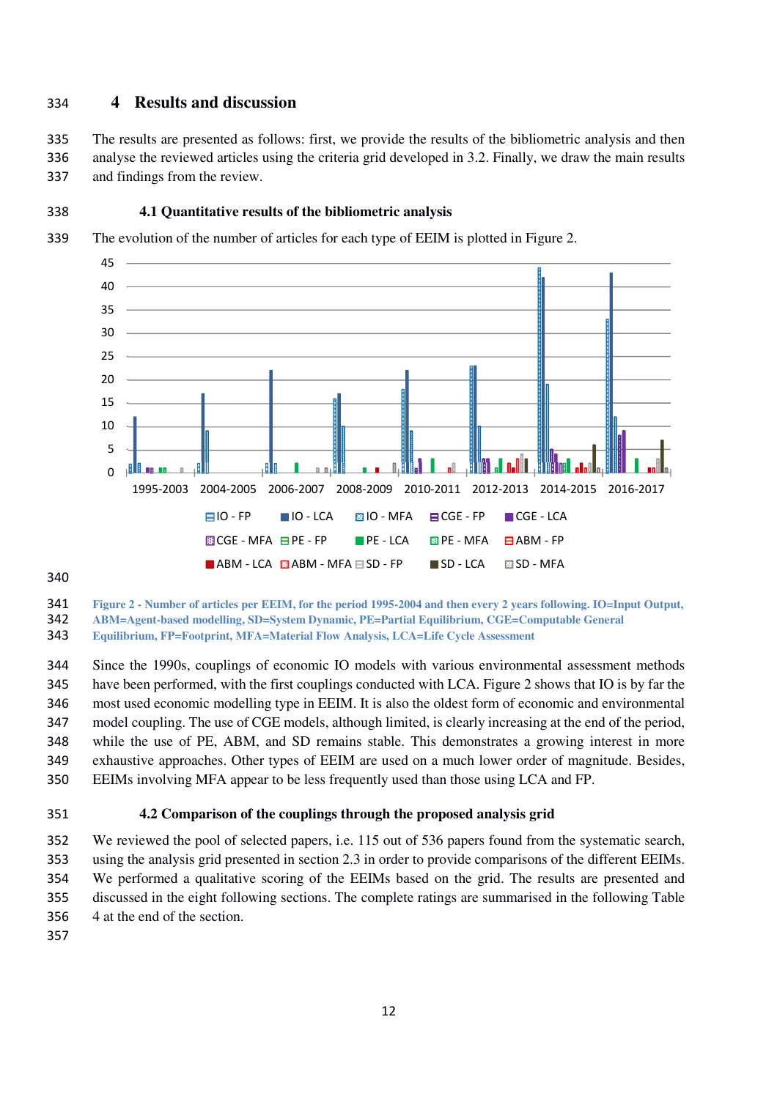## **4 Results and discussion**

The results are presented as follows: first, we provide the results of the bibliometric analysis and then analyse the reviewed articles using the criteria grid developed in 3.2. Finally, we draw the main results and findings from the review.

#### **4.1 Quantitative results of the bibliometric analysis**



The evolution of the number of articles for each type of EEIM is plotted in Figure 2.

#### 

**Figure 2 - Number of articles per EEIM, for the period 1995-2004 and then every 2 years following. IO=Input Output, ABM=Agent-based modelling, SD=System Dynamic, PE=Partial Equilibrium, CGE=Computable General Equilibrium, FP=Footprint, MFA=Material Flow Analysis, LCA=Life Cycle Assessment** 

Since the 1990s, couplings of economic IO models with various environmental assessment methods have been performed, with the first couplings conducted with LCA. Figure 2 shows that IO is by far the most used economic modelling type in EEIM. It is also the oldest form of economic and environmental model coupling. The use of CGE models, although limited, is clearly increasing at the end of the period, while the use of PE, ABM, and SD remains stable. This demonstrates a growing interest in more exhaustive approaches. Other types of EEIM are used on a much lower order of magnitude. Besides, EEIMs involving MFA appear to be less frequently used than those using LCA and FP.

### **4.2 Comparison of the couplings through the proposed analysis grid**

We reviewed the pool of selected papers, i.e. 115 out of 536 papers found from the systematic search, using the analysis grid presented in section 2.3 in order to provide comparisons of the different EEIMs. We performed a qualitative scoring of the EEIMs based on the grid. The results are presented and discussed in the eight following sections. The complete ratings are summarised in the following Table 4 at the end of the section.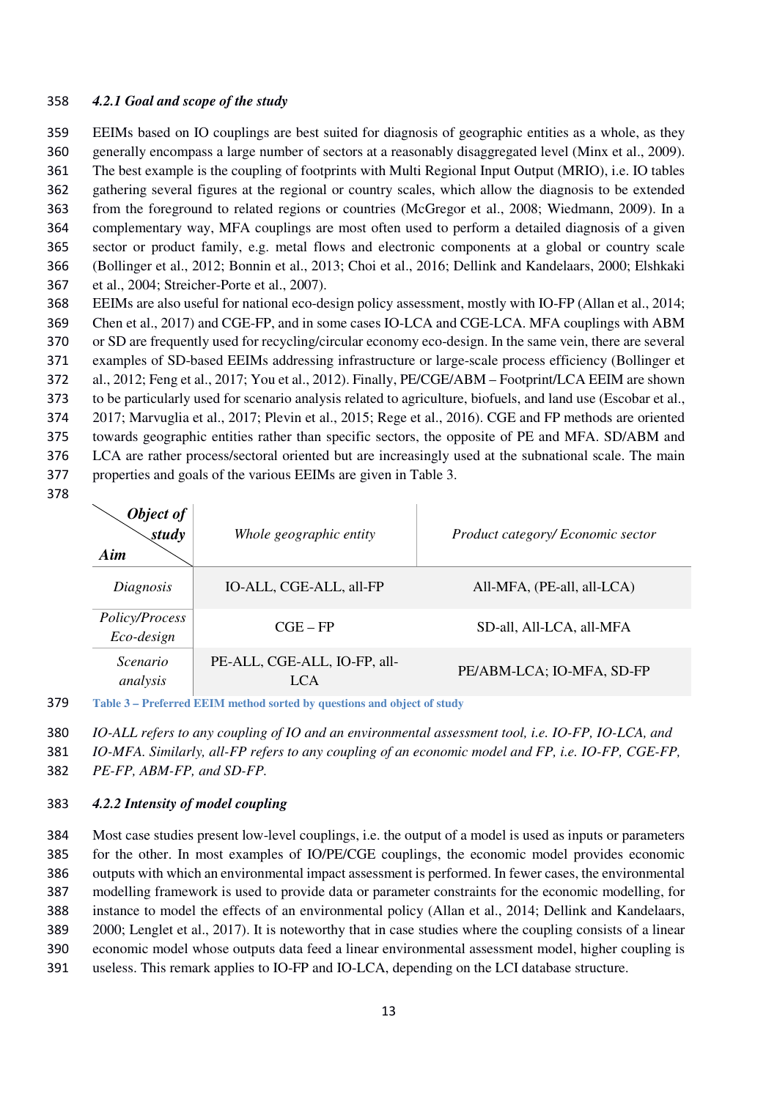#### *4.2.1 Goal and scope of the study*

EEIMs based on IO couplings are best suited for diagnosis of geographic entities as a whole, as they generally encompass a large number of sectors at a reasonably disaggregated level (Minx et al., 2009). The best example is the coupling of footprints with Multi Regional Input Output (MRIO), i.e. IO tables gathering several figures at the regional or country scales, which allow the diagnosis to be extended from the foreground to related regions or countries (McGregor et al., 2008; Wiedmann, 2009). In a complementary way, MFA couplings are most often used to perform a detailed diagnosis of a given sector or product family, e.g. metal flows and electronic components at a global or country scale (Bollinger et al., 2012; Bonnin et al., 2013; Choi et al., 2016; Dellink and Kandelaars, 2000; Elshkaki et al., 2004; Streicher-Porte et al., 2007).

EEIMs are also useful for national eco-design policy assessment, mostly with IO-FP (Allan et al., 2014; Chen et al., 2017) and CGE-FP, and in some cases IO-LCA and CGE-LCA. MFA couplings with ABM or SD are frequently used for recycling/circular economy eco-design. In the same vein, there are several examples of SD-based EEIMs addressing infrastructure or large-scale process efficiency (Bollinger et al., 2012; Feng et al., 2017; You et al., 2012). Finally, PE/CGE/ABM – Footprint/LCA EEIM are shown to be particularly used for scenario analysis related to agriculture, biofuels, and land use (Escobar et al., 2017; Marvuglia et al., 2017; Plevin et al., 2015; Rege et al., 2016). CGE and FP methods are oriented towards geographic entities rather than specific sectors, the opposite of PE and MFA. SD/ABM and

LCA are rather process/sectoral oriented but are increasingly used at the subnational scale. The main properties and goals of the various EEIMs are given in Table 3.

| Object of<br>study<br>Aim    | Whole geographic entity             | Product category/ Economic sector |
|------------------------------|-------------------------------------|-----------------------------------|
| Diagnosis                    | IO-ALL, CGE-ALL, all-FP             | All-MFA, (PE-all, all-LCA)        |
| Policy/Process<br>Eco-design | $CGE - FP$                          | SD-all, All-LCA, all-MFA          |
| <i>Scenario</i><br>analysis  | PE-ALL, CGE-ALL, IO-FP, all-<br>LCA | PE/ABM-LCA; IO-MFA, SD-FP         |

**Table 3 – Preferred EEIM method sorted by questions and object of study** 

*IO-ALL refers to any coupling of IO and an environmental assessment tool, i.e. IO-FP, IO-LCA, and* 

*IO-MFA. Similarly, all-FP refers to any coupling of an economic model and FP, i.e. IO-FP, CGE-FP,* 

*PE-FP, ABM-FP, and SD-FP.* 

#### *4.2.2 Intensity of model coupling*

Most case studies present low-level couplings, i.e. the output of a model is used as inputs or parameters for the other. In most examples of IO/PE/CGE couplings, the economic model provides economic outputs with which an environmental impact assessment is performed. In fewer cases, the environmental modelling framework is used to provide data or parameter constraints for the economic modelling, for instance to model the effects of an environmental policy (Allan et al., 2014; Dellink and Kandelaars, 2000; Lenglet et al., 2017). It is noteworthy that in case studies where the coupling consists of a linear economic model whose outputs data feed a linear environmental assessment model, higher coupling is useless. This remark applies to IO-FP and IO-LCA, depending on the LCI database structure.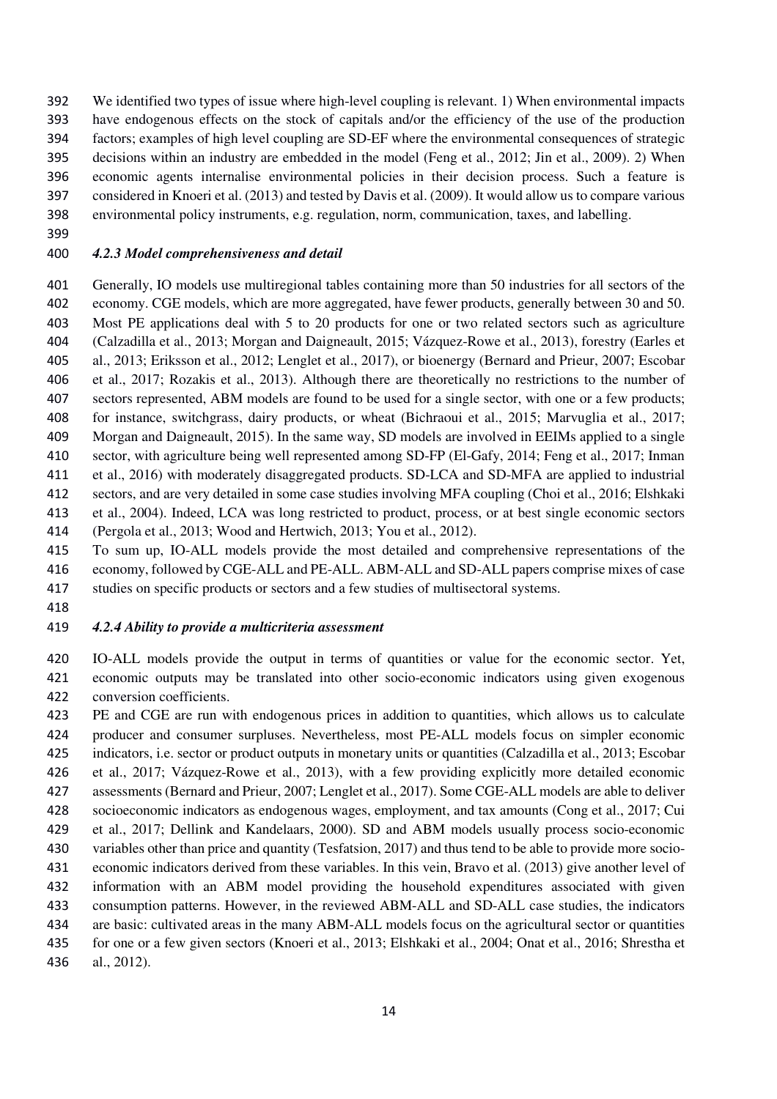We identified two types of issue where high-level coupling is relevant. 1) When environmental impacts have endogenous effects on the stock of capitals and/or the efficiency of the use of the production factors; examples of high level coupling are SD-EF where the environmental consequences of strategic decisions within an industry are embedded in the model (Feng et al., 2012; Jin et al., 2009). 2) When economic agents internalise environmental policies in their decision process. Such a feature is considered in Knoeri et al. (2013) and tested by Davis et al. (2009). It would allow us to compare various environmental policy instruments, e.g. regulation, norm, communication, taxes, and labelling.

#### *4.2.3 Model comprehensiveness and detail*

Generally, IO models use multiregional tables containing more than 50 industries for all sectors of the economy. CGE models, which are more aggregated, have fewer products, generally between 30 and 50. Most PE applications deal with 5 to 20 products for one or two related sectors such as agriculture (Calzadilla et al., 2013; Morgan and Daigneault, 2015; Vázquez-Rowe et al., 2013), forestry (Earles et al., 2013; Eriksson et al., 2012; Lenglet et al., 2017), or bioenergy (Bernard and Prieur, 2007; Escobar et al., 2017; Rozakis et al., 2013). Although there are theoretically no restrictions to the number of sectors represented, ABM models are found to be used for a single sector, with one or a few products; for instance, switchgrass, dairy products, or wheat (Bichraoui et al., 2015; Marvuglia et al., 2017; Morgan and Daigneault, 2015). In the same way, SD models are involved in EEIMs applied to a single sector, with agriculture being well represented among SD-FP (El-Gafy, 2014; Feng et al., 2017; Inman et al., 2016) with moderately disaggregated products. SD-LCA and SD-MFA are applied to industrial sectors, and are very detailed in some case studies involving MFA coupling (Choi et al., 2016; Elshkaki et al., 2004). Indeed, LCA was long restricted to product, process, or at best single economic sectors (Pergola et al., 2013; Wood and Hertwich, 2013; You et al., 2012).

- To sum up, IO-ALL models provide the most detailed and comprehensive representations of the economy, followed by CGE-ALL and PE-ALL. ABM-ALL and SD-ALL papers comprise mixes of case studies on specific products or sectors and a few studies of multisectoral systems.
- 

#### *4.2.4 Ability to provide a multicriteria assessment*

IO-ALL models provide the output in terms of quantities or value for the economic sector. Yet, economic outputs may be translated into other socio-economic indicators using given exogenous conversion coefficients.

PE and CGE are run with endogenous prices in addition to quantities, which allows us to calculate producer and consumer surpluses. Nevertheless, most PE-ALL models focus on simpler economic indicators, i.e. sector or product outputs in monetary units or quantities (Calzadilla et al., 2013; Escobar et al., 2017; Vázquez-Rowe et al., 2013), with a few providing explicitly more detailed economic assessments (Bernard and Prieur, 2007; Lenglet et al., 2017). Some CGE-ALL models are able to deliver socioeconomic indicators as endogenous wages, employment, and tax amounts (Cong et al., 2017; Cui et al., 2017; Dellink and Kandelaars, 2000). SD and ABM models usually process socio-economic variables other than price and quantity (Tesfatsion, 2017) and thus tend to be able to provide more socio-economic indicators derived from these variables. In this vein, Bravo et al. (2013) give another level of information with an ABM model providing the household expenditures associated with given consumption patterns. However, in the reviewed ABM-ALL and SD-ALL case studies, the indicators are basic: cultivated areas in the many ABM-ALL models focus on the agricultural sector or quantities for one or a few given sectors (Knoeri et al., 2013; Elshkaki et al., 2004; Onat et al., 2016; Shrestha et al., 2012).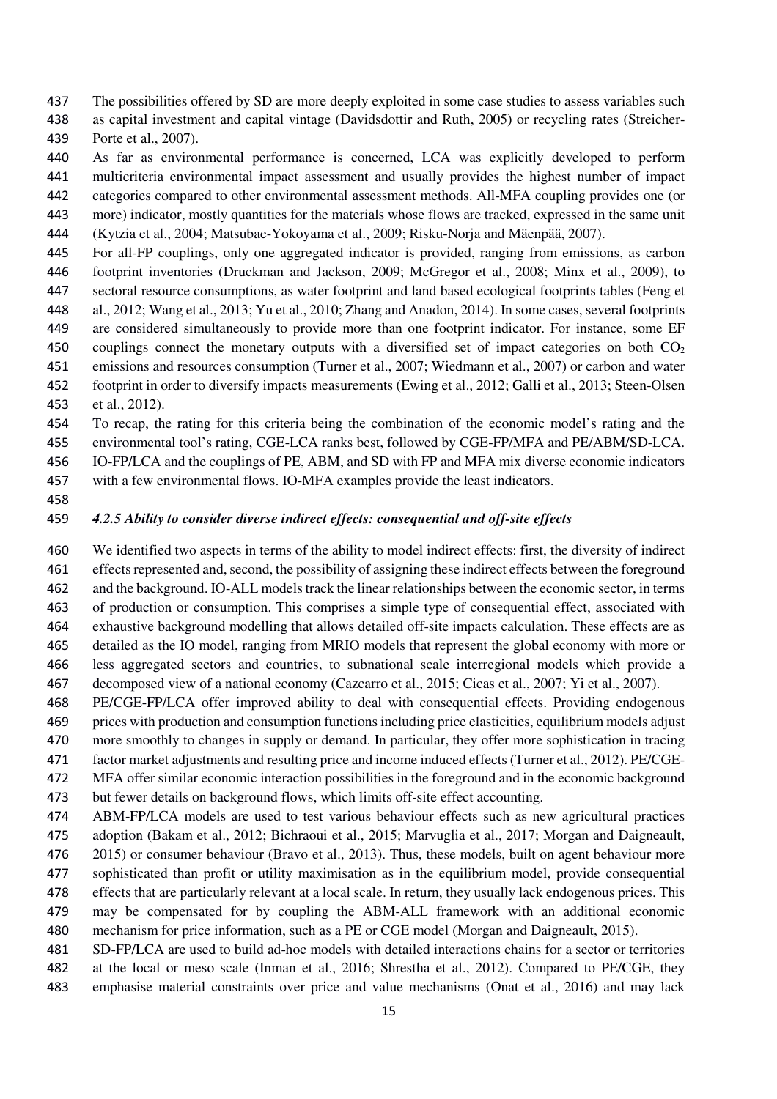437 The possibilities offered by SD are more deeply exploited in some case studies to assess variables such as capital investment and capital vintage (Davidsdottir and Ruth, 2005) or recycling rates (Streicher-Porte et al., 2007).

As far as environmental performance is concerned, LCA was explicitly developed to perform multicriteria environmental impact assessment and usually provides the highest number of impact categories compared to other environmental assessment methods. All-MFA coupling provides one (or

more) indicator, mostly quantities for the materials whose flows are tracked, expressed in the same unit

(Kytzia et al., 2004; Matsubae-Yokoyama et al., 2009; Risku-Norja and Mäenpää, 2007).

For all-FP couplings, only one aggregated indicator is provided, ranging from emissions, as carbon footprint inventories (Druckman and Jackson, 2009; McGregor et al., 2008; Minx et al., 2009), to sectoral resource consumptions, as water footprint and land based ecological footprints tables (Feng et al., 2012; Wang et al., 2013; Yu et al., 2010; Zhang and Anadon, 2014). In some cases, several footprints are considered simultaneously to provide more than one footprint indicator. For instance, some EF 450 couplings connect the monetary outputs with a diversified set of impact categories on both  $CO<sub>2</sub>$ emissions and resources consumption (Turner et al., 2007; Wiedmann et al., 2007) or carbon and water footprint in order to diversify impacts measurements (Ewing et al., 2012; Galli et al., 2013; Steen-Olsen

et al., 2012).

To recap, the rating for this criteria being the combination of the economic model's rating and the environmental tool's rating, CGE-LCA ranks best, followed by CGE-FP/MFA and PE/ABM/SD-LCA.

IO-FP/LCA and the couplings of PE, ABM, and SD with FP and MFA mix diverse economic indicators with a few environmental flows. IO-MFA examples provide the least indicators.

#### *4.2.5 Ability to consider diverse indirect effects: consequential and off-site effects*

We identified two aspects in terms of the ability to model indirect effects: first, the diversity of indirect effects represented and, second, the possibility of assigning these indirect effects between the foreground and the background. IO-ALL models track the linear relationships between the economic sector, in terms of production or consumption. This comprises a simple type of consequential effect, associated with exhaustive background modelling that allows detailed off-site impacts calculation. These effects are as detailed as the IO model, ranging from MRIO models that represent the global economy with more or less aggregated sectors and countries, to subnational scale interregional models which provide a

- decomposed view of a national economy (Cazcarro et al., 2015; Cicas et al., 2007; Yi et al., 2007).
- PE/CGE-FP/LCA offer improved ability to deal with consequential effects. Providing endogenous prices with production and consumption functions including price elasticities, equilibrium models adjust
- more smoothly to changes in supply or demand. In particular, they offer more sophistication in tracing
- factor market adjustments and resulting price and income induced effects (Turner et al., 2012). PE/CGE-
- MFA offer similar economic interaction possibilities in the foreground and in the economic background
- but fewer details on background flows, which limits off-site effect accounting.

ABM-FP/LCA models are used to test various behaviour effects such as new agricultural practices adoption (Bakam et al., 2012; Bichraoui et al., 2015; Marvuglia et al., 2017; Morgan and Daigneault, 2015) or consumer behaviour (Bravo et al., 2013). Thus, these models, built on agent behaviour more sophisticated than profit or utility maximisation as in the equilibrium model, provide consequential effects that are particularly relevant at a local scale. In return, they usually lack endogenous prices. This may be compensated for by coupling the ABM-ALL framework with an additional economic mechanism for price information, such as a PE or CGE model (Morgan and Daigneault, 2015).

SD-FP/LCA are used to build ad-hoc models with detailed interactions chains for a sector or territories at the local or meso scale (Inman et al., 2016; Shrestha et al., 2012). Compared to PE/CGE, they emphasise material constraints over price and value mechanisms (Onat et al., 2016) and may lack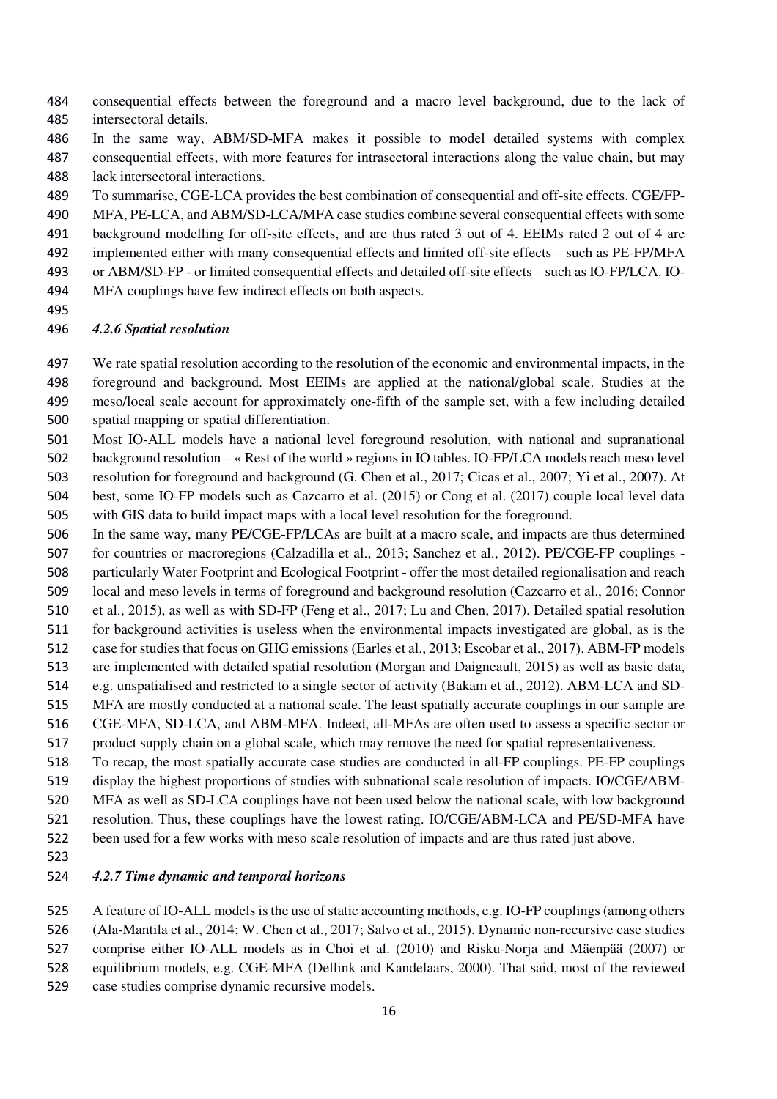- consequential effects between the foreground and a macro level background, due to the lack of intersectoral details.
- In the same way, ABM/SD-MFA makes it possible to model detailed systems with complex consequential effects, with more features for intrasectoral interactions along the value chain, but may lack intersectoral interactions.
- To summarise, CGE-LCA provides the best combination of consequential and off-site effects. CGE/FP-
- MFA, PE-LCA, and ABM/SD-LCA/MFA case studies combine several consequential effects with some
- background modelling for off-site effects, and are thus rated 3 out of 4. EEIMs rated 2 out of 4 are
- implemented either with many consequential effects and limited off-site effects such as PE-FP/MFA
- or ABM/SD-FP or limited consequential effects and detailed off-site effects such as IO-FP/LCA. IO-
- MFA couplings have few indirect effects on both aspects.
- 

#### *4.2.6 Spatial resolution*

- We rate spatial resolution according to the resolution of the economic and environmental impacts, in the foreground and background. Most EEIMs are applied at the national/global scale. Studies at the meso/local scale account for approximately one-fifth of the sample set, with a few including detailed spatial mapping or spatial differentiation.
- Most IO-ALL models have a national level foreground resolution, with national and supranational
- background resolution « Rest of the world » regions in IO tables. IO-FP/LCA models reach meso level
- resolution for foreground and background (G. Chen et al., 2017; Cicas et al., 2007; Yi et al., 2007). At best, some IO-FP models such as Cazcarro et al. (2015) or Cong et al. (2017) couple local level data
- with GIS data to build impact maps with a local level resolution for the foreground.
- In the same way, many PE/CGE-FP/LCAs are built at a macro scale, and impacts are thus determined for countries or macroregions (Calzadilla et al., 2013; Sanchez et al., 2012). PE/CGE-FP couplings - particularly Water Footprint and Ecological Footprint - offer the most detailed regionalisation and reach
- local and meso levels in terms of foreground and background resolution (Cazcarro et al., 2016; Connor
- et al., 2015), as well as with SD-FP (Feng et al., 2017; Lu and Chen, 2017). Detailed spatial resolution
- for background activities is useless when the environmental impacts investigated are global, as is the
- case for studies that focus on GHG emissions (Earles et al., 2013; Escobar et al., 2017). ABM-FP models are implemented with detailed spatial resolution (Morgan and Daigneault, 2015) as well as basic data,
- e.g. unspatialised and restricted to a single sector of activity (Bakam et al., 2012). ABM-LCA and SD-
- MFA are mostly conducted at a national scale. The least spatially accurate couplings in our sample are
- CGE-MFA, SD-LCA, and ABM-MFA. Indeed, all-MFAs are often used to assess a specific sector or product supply chain on a global scale, which may remove the need for spatial representativeness.
- To recap, the most spatially accurate case studies are conducted in all-FP couplings. PE-FP couplings display the highest proportions of studies with subnational scale resolution of impacts. IO/CGE/ABM-MFA as well as SD-LCA couplings have not been used below the national scale, with low background resolution. Thus, these couplings have the lowest rating. IO/CGE/ABM-LCA and PE/SD-MFA have been used for a few works with meso scale resolution of impacts and are thus rated just above.
- 

### *4.2.7 Time dynamic and temporal horizons*

A feature of IO-ALL models is the use of static accounting methods, e.g. IO-FP couplings (among others (Ala-Mantila et al., 2014; W. Chen et al., 2017; Salvo et al., 2015). Dynamic non-recursive case studies

- comprise either IO-ALL models as in Choi et al. (2010) and Risku-Norja and Mäenpää (2007) or
- equilibrium models, e.g. CGE-MFA (Dellink and Kandelaars, 2000). That said, most of the reviewed
- case studies comprise dynamic recursive models.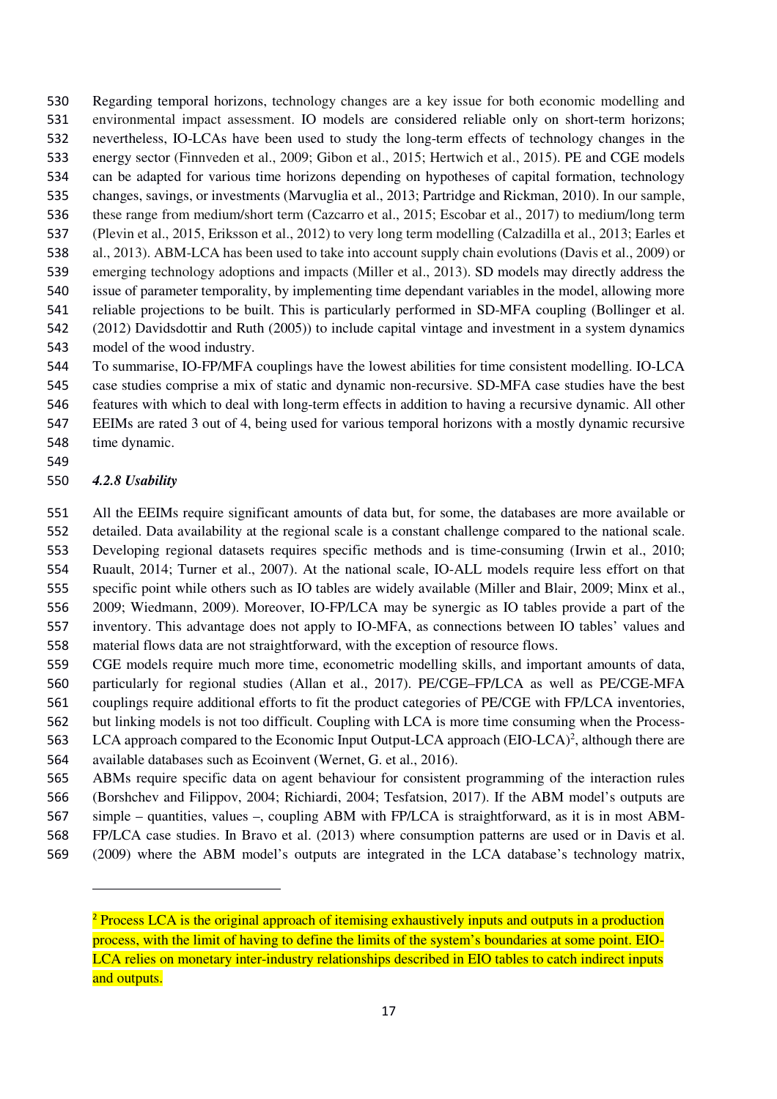Regarding temporal horizons, technology changes are a key issue for both economic modelling and environmental impact assessment. IO models are considered reliable only on short-term horizons; nevertheless, IO-LCAs have been used to study the long-term effects of technology changes in the energy sector (Finnveden et al., 2009; Gibon et al., 2015; Hertwich et al., 2015). PE and CGE models can be adapted for various time horizons depending on hypotheses of capital formation, technology changes, savings, or investments (Marvuglia et al., 2013; Partridge and Rickman, 2010). In our sample, these range from medium/short term (Cazcarro et al., 2015; Escobar et al., 2017) to medium/long term (Plevin et al., 2015, Eriksson et al., 2012) to very long term modelling (Calzadilla et al., 2013; Earles et al., 2013). ABM-LCA has been used to take into account supply chain evolutions (Davis et al., 2009) or emerging technology adoptions and impacts (Miller et al., 2013). SD models may directly address the issue of parameter temporality, by implementing time dependant variables in the model, allowing more reliable projections to be built. This is particularly performed in SD-MFA coupling (Bollinger et al. (2012) Davidsdottir and Ruth (2005)) to include capital vintage and investment in a system dynamics

- model of the wood industry.
- To summarise, IO-FP/MFA couplings have the lowest abilities for time consistent modelling. IO-LCA
- case studies comprise a mix of static and dynamic non-recursive. SD-MFA case studies have the best
- features with which to deal with long-term effects in addition to having a recursive dynamic. All other
- EEIMs are rated 3 out of 4, being used for various temporal horizons with a mostly dynamic recursive
- time dynamic.

l

# *4.2.8 Usability*

All the EEIMs require significant amounts of data but, for some, the databases are more available or detailed. Data availability at the regional scale is a constant challenge compared to the national scale.

Developing regional datasets requires specific methods and is time-consuming (Irwin et al., 2010; Ruault, 2014; Turner et al., 2007). At the national scale, IO-ALL models require less effort on that specific point while others such as IO tables are widely available (Miller and Blair, 2009; Minx et al., 2009; Wiedmann, 2009). Moreover, IO-FP/LCA may be synergic as IO tables provide a part of the inventory. This advantage does not apply to IO-MFA, as connections between IO tables' values and material flows data are not straightforward, with the exception of resource flows.

- CGE models require much more time, econometric modelling skills, and important amounts of data, particularly for regional studies (Allan et al., 2017). PE/CGE–FP/LCA as well as PE/CGE-MFA couplings require additional efforts to fit the product categories of PE/CGE with FP/LCA inventories,
- but linking models is not too difficult. Coupling with LCA is more time consuming when the Process-
- 563 LCA approach compared to the Economic Input Output-LCA approach  $(EIO-LCA)^2$ , although there are
- available databases such as Ecoinvent (Wernet, G. et al., 2016).
- ABMs require specific data on agent behaviour for consistent programming of the interaction rules
- (Borshchev and Filippov, 2004; Richiardi, 2004; Tesfatsion, 2017). If the ABM model's outputs are
- simple quantities, values –, coupling ABM with FP/LCA is straightforward, as it is in most ABM-
- FP/LCA case studies. In Bravo et al. (2013) where consumption patterns are used or in Davis et al.
- (2009) where the ABM model's outputs are integrated in the LCA database's technology matrix,

<sup>&</sup>lt;sup>2</sup> Process LCA is the original approach of itemising exhaustively inputs and outputs in a production process, with the limit of having to define the limits of the system's boundaries at some point. EIO-LCA relies on monetary inter-industry relationships described in EIO tables to catch indirect inputs and outputs.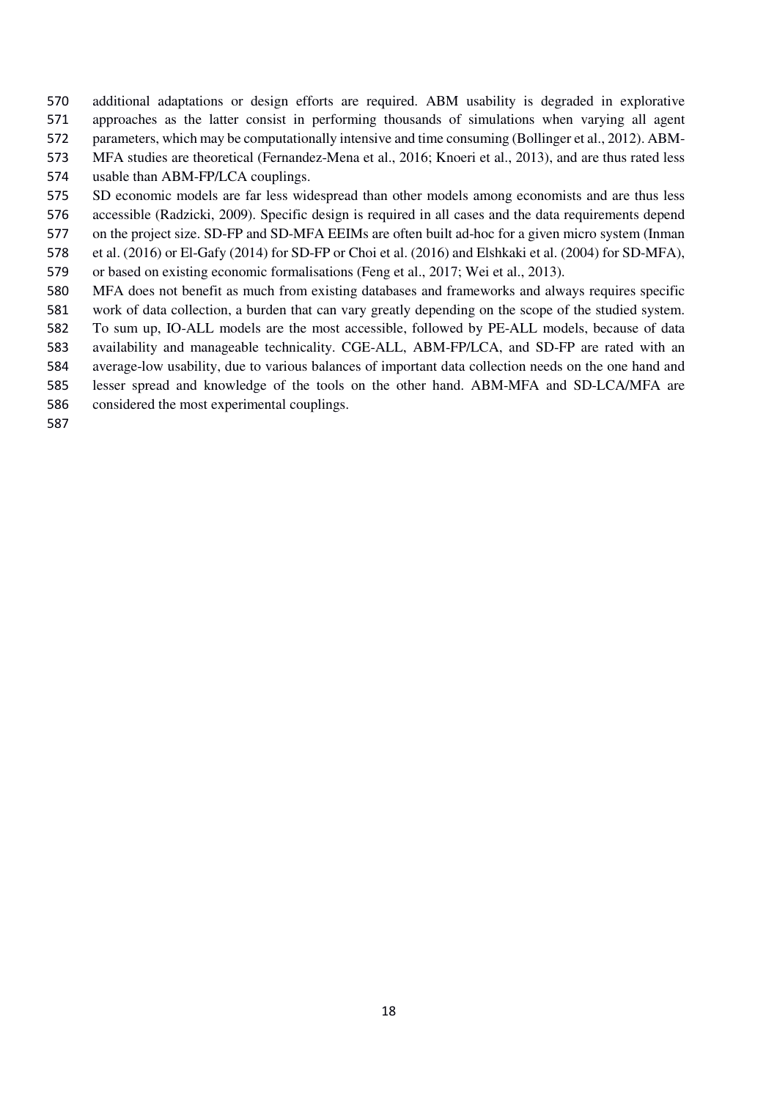- additional adaptations or design efforts are required. ABM usability is degraded in explorative
- approaches as the latter consist in performing thousands of simulations when varying all agent parameters, which may be computationally intensive and time consuming (Bollinger et al., 2012). ABM-
- MFA studies are theoretical (Fernandez-Mena et al., 2016; Knoeri et al., 2013), and are thus rated less
- usable than ABM-FP/LCA couplings.
- SD economic models are far less widespread than other models among economists and are thus less
- accessible (Radzicki, 2009). Specific design is required in all cases and the data requirements depend
- on the project size. SD-FP and SD-MFA EEIMs are often built ad-hoc for a given micro system (Inman
- et al. (2016) or El-Gafy (2014) for SD-FP or Choi et al. (2016) and Elshkaki et al. (2004) for SD-MFA),
- or based on existing economic formalisations (Feng et al., 2017; Wei et al., 2013).
- MFA does not benefit as much from existing databases and frameworks and always requires specific
- work of data collection, a burden that can vary greatly depending on the scope of the studied system.
- To sum up, IO-ALL models are the most accessible, followed by PE-ALL models, because of data
- availability and manageable technicality. CGE-ALL, ABM-FP/LCA, and SD-FP are rated with an
- average-low usability, due to various balances of important data collection needs on the one hand and
- lesser spread and knowledge of the tools on the other hand. ABM-MFA and SD-LCA/MFA are
- considered the most experimental couplings.
-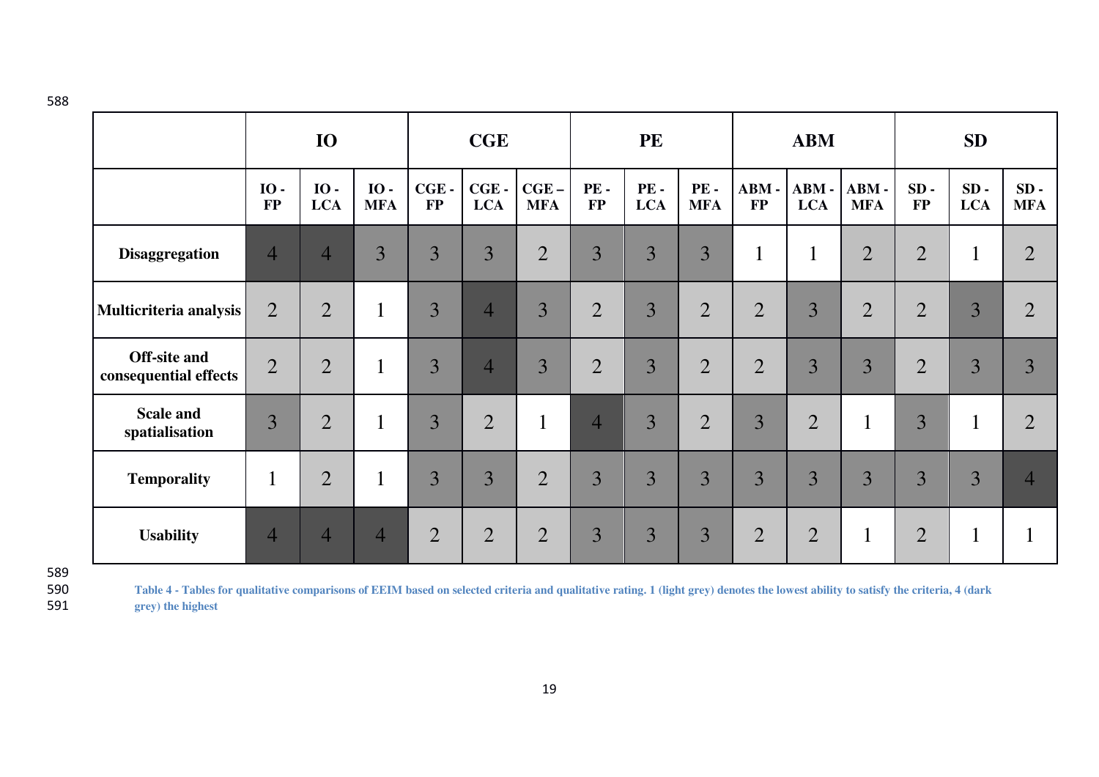|                                              | <b>IO</b>               |                  |                                     |                  | CGE                | <b>PE</b>            |                  |                      |                          | <b>ABM</b>       |                       |                    | <b>SD</b>          |                      |                      |
|----------------------------------------------|-------------------------|------------------|-------------------------------------|------------------|--------------------|----------------------|------------------|----------------------|--------------------------|------------------|-----------------------|--------------------|--------------------|----------------------|----------------------|
|                                              | <b>IO-</b><br><b>FP</b> | Ю-<br><b>LCA</b> | <b>IO-</b><br><b>MFA</b>            | CGE-<br>$\bf FP$ | CGE-<br><b>LCA</b> | $CGE-$<br><b>MFA</b> | <b>PE-</b><br>FP | $PE -$<br><b>LCA</b> | <b>PE-</b><br><b>MFA</b> | ABM-<br>$\bf FP$ | $ABM -$<br><b>LCA</b> | ABM-<br><b>MFA</b> | $SD -$<br>$\bf FP$ | $SD -$<br><b>LCA</b> | $SD -$<br><b>MFA</b> |
| <b>Disaggregation</b>                        | $\overline{4}$          | $\overline{4}$   | 3                                   | $\overline{3}$   | 3                  | $\overline{2}$       | 3 <sup>1</sup>   | 3                    | 3                        | $\mathbf{1}$     | $\mathbf{1}$          | $\overline{2}$     | $\overline{2}$     | $\mathbf{1}$         | $\overline{2}$       |
| Multicriteria analysis                       | $\overline{2}$          | $\overline{2}$   | $\bf{l}$                            | 3                | $\overline{4}$     | 3                    | $\overline{2}$   | $\overline{3}$       | $\overline{2}$           | $\overline{2}$   | 3                     | $\overline{2}$     | $\overline{2}$     | 3                    | $\overline{2}$       |
| <b>Off-site and</b><br>consequential effects | $\overline{2}$          | $\overline{2}$   | $\blacktriangleleft$<br>$\mathbf 1$ | $\overline{3}$   | $\overline{4}$     | 3                    | $\overline{2}$   | 3 <sup>1</sup>       | $\overline{2}$           | $\overline{2}$   | 3                     | 3                  | $\overline{2}$     | 3                    | $\overline{3}$       |
| <b>Scale and</b><br>spatialisation           | 3                       | $\overline{2}$   | $\bf{l}$                            | $\overline{3}$   | $\overline{2}$     |                      | $\overline{4}$   | 3                    | $\overline{2}$           | $\overline{3}$   | $\overline{2}$        | $\bf{l}$           | 3 <sup>1</sup>     | $\mathbf{1}$         | $\overline{2}$       |
| <b>Temporality</b>                           | $\mathbf{1}$            | $\overline{2}$   | $\bf{l}$                            | 3                | 3                  | $\overline{2}$       | $\overline{3}$   | 3                    | 3                        | 3                | 3                     | 3                  | $\overline{3}$     | 3                    | $\overline{4}$       |
| <b>Usability</b>                             | $\overline{4}$          | $\overline{4}$   | $\overline{4}$                      | $\overline{2}$   | $\overline{2}$     | $\overline{2}$       | 3                | 3                    | 3                        | $\overline{2}$   | $\overline{2}$        | 1<br>$\bf{l}$      | $\overline{2}$     | $\mathbf{1}$         | $\mathbf{1}$         |

589 590

590 **Table 4 - Tables for qualitative comparisons of EEIM based on selected criteria and qualitative rating. 1 (light grey) denotes the lowest ability to satisfy the criteria, 4 (dark** 591 **grey) the highest**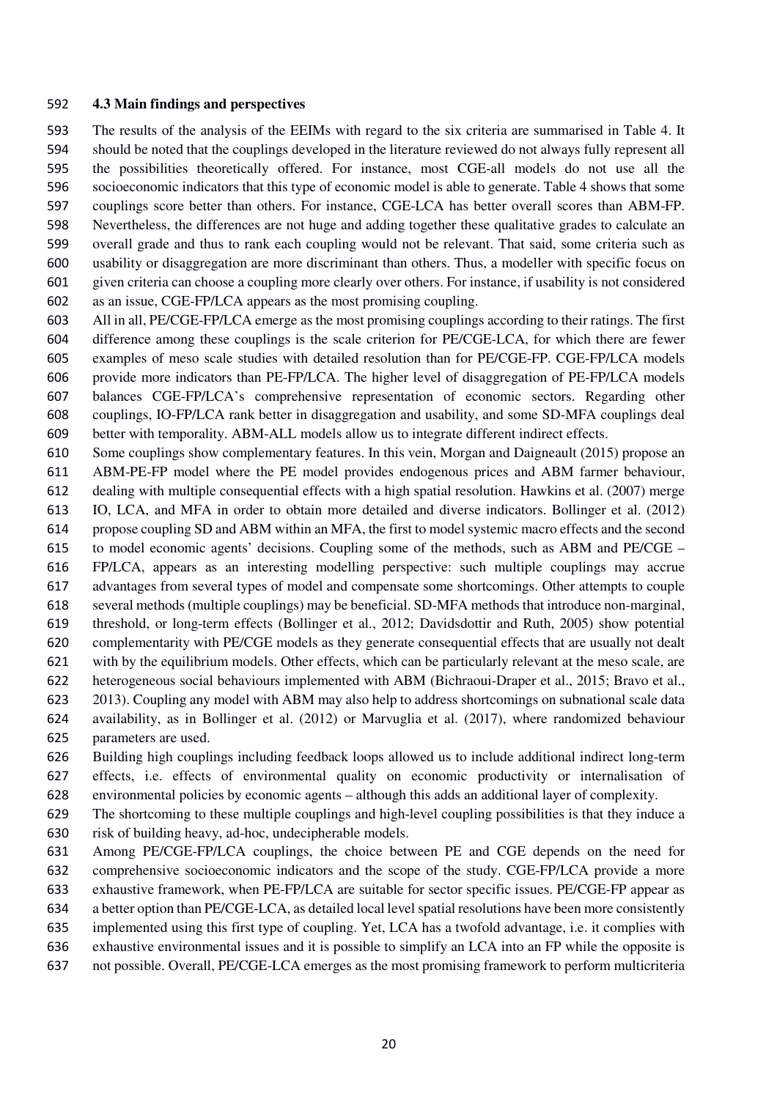#### **4.3 Main findings and perspectives**

The results of the analysis of the EEIMs with regard to the six criteria are summarised in Table 4. It should be noted that the couplings developed in the literature reviewed do not always fully represent all the possibilities theoretically offered. For instance, most CGE-all models do not use all the socioeconomic indicators that this type of economic model is able to generate. Table 4 shows that some couplings score better than others. For instance, CGE-LCA has better overall scores than ABM-FP. Nevertheless, the differences are not huge and adding together these qualitative grades to calculate an overall grade and thus to rank each coupling would not be relevant. That said, some criteria such as usability or disaggregation are more discriminant than others. Thus, a modeller with specific focus on given criteria can choose a coupling more clearly over others. For instance, if usability is not considered as an issue, CGE-FP/LCA appears as the most promising coupling.

All in all, PE/CGE-FP/LCA emerge as the most promising couplings according to their ratings. The first difference among these couplings is the scale criterion for PE/CGE-LCA, for which there are fewer examples of meso scale studies with detailed resolution than for PE/CGE-FP. CGE-FP/LCA models provide more indicators than PE-FP/LCA. The higher level of disaggregation of PE-FP/LCA models balances CGE-FP/LCA's comprehensive representation of economic sectors. Regarding other couplings, IO-FP/LCA rank better in disaggregation and usability, and some SD-MFA couplings deal better with temporality. ABM-ALL models allow us to integrate different indirect effects.

- Some couplings show complementary features. In this vein, Morgan and Daigneault (2015) propose an ABM-PE-FP model where the PE model provides endogenous prices and ABM farmer behaviour, dealing with multiple consequential effects with a high spatial resolution. Hawkins et al. (2007) merge IO, LCA, and MFA in order to obtain more detailed and diverse indicators. Bollinger et al. (2012) propose coupling SD and ABM within an MFA, the first to model systemic macro effects and the second to model economic agents' decisions. Coupling some of the methods, such as ABM and PE/CGE – FP/LCA, appears as an interesting modelling perspective: such multiple couplings may accrue advantages from several types of model and compensate some shortcomings. Other attempts to couple several methods (multiple couplings) may be beneficial. SD-MFA methods that introduce non-marginal, threshold, or long-term effects (Bollinger et al., 2012; Davidsdottir and Ruth, 2005) show potential complementarity with PE/CGE models as they generate consequential effects that are usually not dealt with by the equilibrium models. Other effects, which can be particularly relevant at the meso scale, are heterogeneous social behaviours implemented with ABM (Bichraoui-Draper et al., 2015; Bravo et al., 2013). Coupling any model with ABM may also help to address shortcomings on subnational scale data availability, as in Bollinger et al. (2012) or Marvuglia et al. (2017), where randomized behaviour
- parameters are used.
- Building high couplings including feedback loops allowed us to include additional indirect long-term effects, i.e. effects of environmental quality on economic productivity or internalisation of environmental policies by economic agents – although this adds an additional layer of complexity.
- The shortcoming to these multiple couplings and high-level coupling possibilities is that they induce a risk of building heavy, ad-hoc, undecipherable models.
- Among PE/CGE-FP/LCA couplings, the choice between PE and CGE depends on the need for comprehensive socioeconomic indicators and the scope of the study. CGE-FP/LCA provide a more
- exhaustive framework, when PE-FP/LCA are suitable for sector specific issues. PE/CGE-FP appear as
- a better option than PE/CGE-LCA, as detailed local level spatial resolutions have been more consistently
- implemented using this first type of coupling. Yet, LCA has a twofold advantage, i.e. it complies with
- exhaustive environmental issues and it is possible to simplify an LCA into an FP while the opposite is
- not possible. Overall, PE/CGE-LCA emerges as the most promising framework to perform multicriteria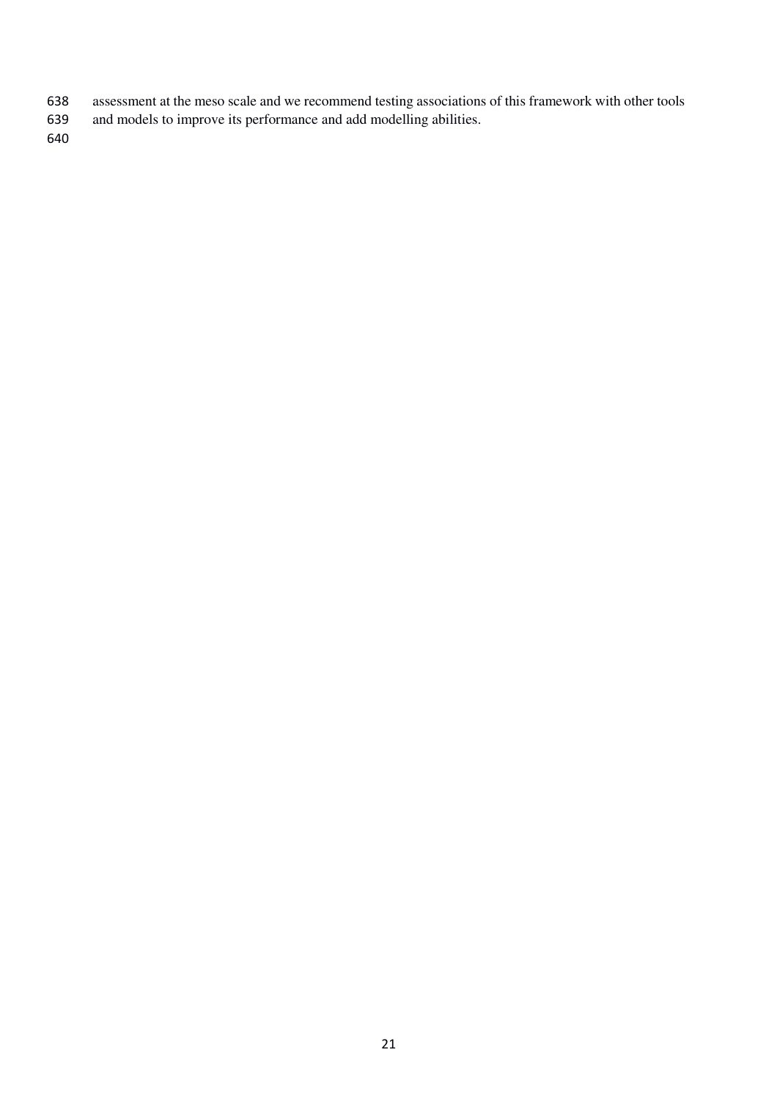- assessment at the meso scale and we recommend testing associations of this framework with other tools
- and models to improve its performance and add modelling abilities.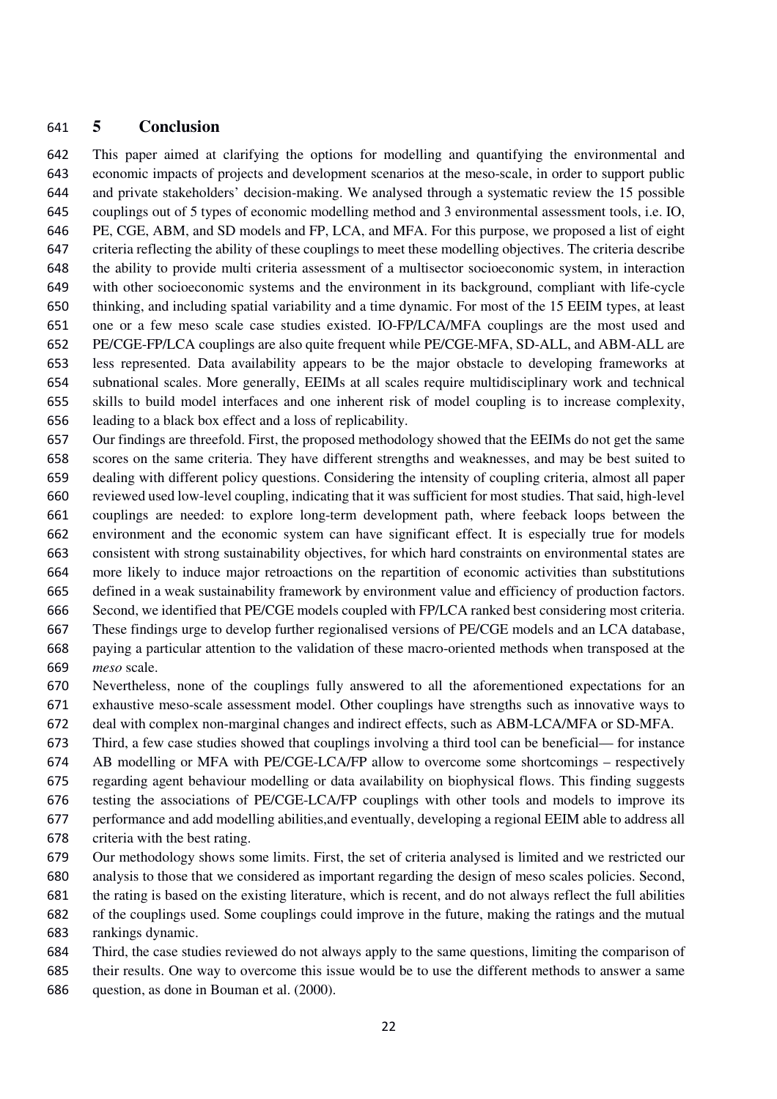### **5 Conclusion**

This paper aimed at clarifying the options for modelling and quantifying the environmental and economic impacts of projects and development scenarios at the meso-scale, in order to support public and private stakeholders' decision-making. We analysed through a systematic review the 15 possible couplings out of 5 types of economic modelling method and 3 environmental assessment tools, i.e. IO, PE, CGE, ABM, and SD models and FP, LCA, and MFA. For this purpose, we proposed a list of eight criteria reflecting the ability of these couplings to meet these modelling objectives. The criteria describe the ability to provide multi criteria assessment of a multisector socioeconomic system, in interaction with other socioeconomic systems and the environment in its background, compliant with life-cycle thinking, and including spatial variability and a time dynamic. For most of the 15 EEIM types, at least one or a few meso scale case studies existed. IO-FP/LCA/MFA couplings are the most used and PE/CGE-FP/LCA couplings are also quite frequent while PE/CGE-MFA, SD-ALL, and ABM-ALL are less represented. Data availability appears to be the major obstacle to developing frameworks at subnational scales. More generally, EEIMs at all scales require multidisciplinary work and technical skills to build model interfaces and one inherent risk of model coupling is to increase complexity, leading to a black box effect and a loss of replicability.

Our findings are threefold. First, the proposed methodology showed that the EEIMs do not get the same scores on the same criteria. They have different strengths and weaknesses, and may be best suited to dealing with different policy questions. Considering the intensity of coupling criteria, almost all paper reviewed used low-level coupling, indicating that it was sufficient for most studies. That said, high-level couplings are needed: to explore long-term development path, where feeback loops between the environment and the economic system can have significant effect. It is especially true for models consistent with strong sustainability objectives, for which hard constraints on environmental states are more likely to induce major retroactions on the repartition of economic activities than substitutions defined in a weak sustainability framework by environment value and efficiency of production factors. Second, we identified that PE/CGE models coupled with FP/LCA ranked best considering most criteria. These findings urge to develop further regionalised versions of PE/CGE models and an LCA database,

paying a particular attention to the validation of these macro-oriented methods when transposed at the *meso* scale.

Nevertheless, none of the couplings fully answered to all the aforementioned expectations for an exhaustive meso-scale assessment model. Other couplings have strengths such as innovative ways to deal with complex non-marginal changes and indirect effects, such as ABM-LCA/MFA or SD-MFA.

Third, a few case studies showed that couplings involving a third tool can be beneficial— for instance

AB modelling or MFA with PE/CGE-LCA/FP allow to overcome some shortcomings – respectively

regarding agent behaviour modelling or data availability on biophysical flows. This finding suggests

testing the associations of PE/CGE-LCA/FP couplings with other tools and models to improve its

performance and add modelling abilities,and eventually, developing a regional EEIM able to address all

- criteria with the best rating.
- Our methodology shows some limits. First, the set of criteria analysed is limited and we restricted our analysis to those that we considered as important regarding the design of meso scales policies. Second,
- the rating is based on the existing literature, which is recent, and do not always reflect the full abilities

of the couplings used. Some couplings could improve in the future, making the ratings and the mutual

- rankings dynamic.
- Third, the case studies reviewed do not always apply to the same questions, limiting the comparison of

their results. One way to overcome this issue would be to use the different methods to answer a same

question, as done in Bouman et al. (2000).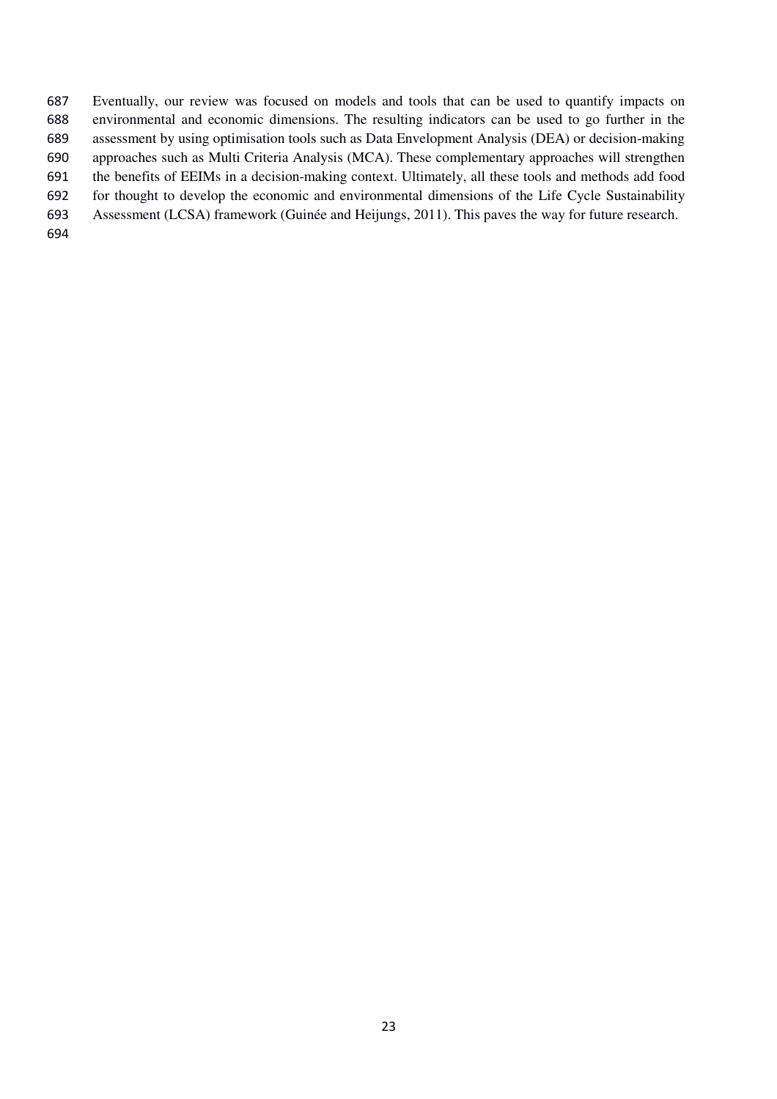Eventually, our review was focused on models and tools that can be used to quantify impacts on environmental and economic dimensions. The resulting indicators can be used to go further in the assessment by using optimisation tools such as Data Envelopment Analysis (DEA) or decision-making approaches such as Multi Criteria Analysis (MCA). These complementary approaches will strengthen the benefits of EEIMs in a decision-making context. Ultimately, all these tools and methods add food for thought to develop the economic and environmental dimensions of the Life Cycle Sustainability Assessment (LCSA) framework (Guinée and Heijungs, 2011). This paves the way for future research.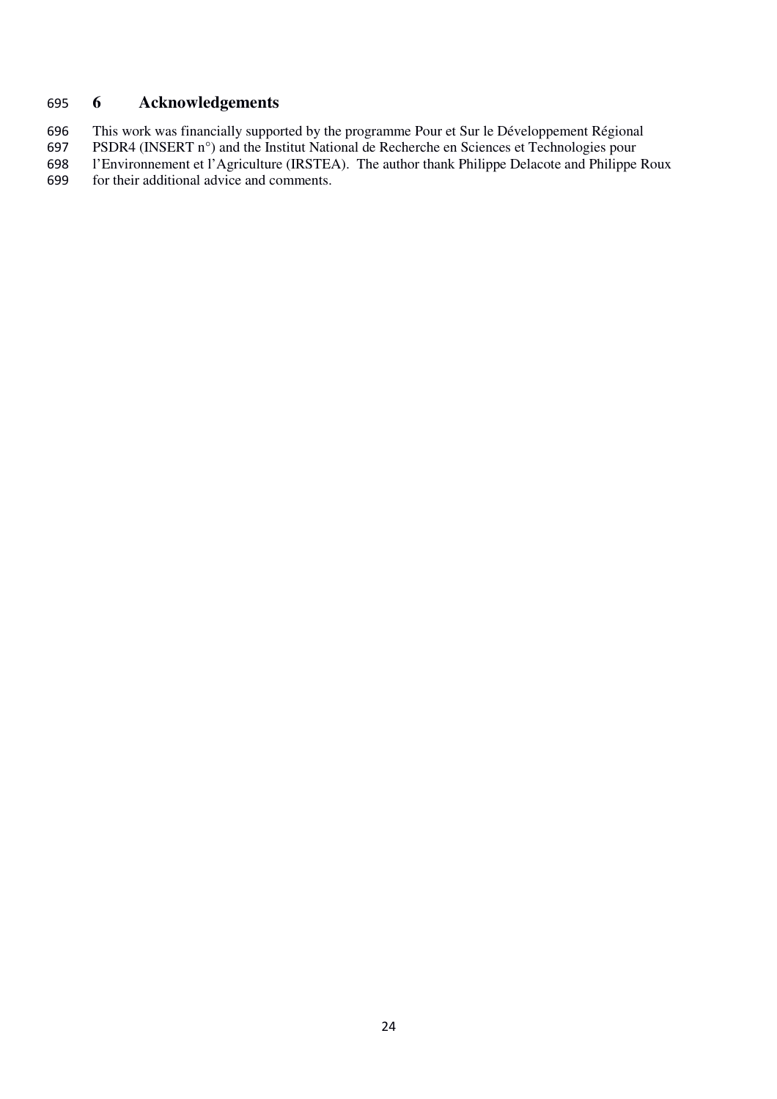# **6 Acknowledgements**

This work was financially supported by the programme Pour et Sur le Développement Régional

PSDR4 (INSERT n°) and the Institut National de Recherche en Sciences et Technologies pour

l'Environnement et l'Agriculture (IRSTEA). The author thank Philippe Delacote and Philippe Roux

for their additional advice and comments.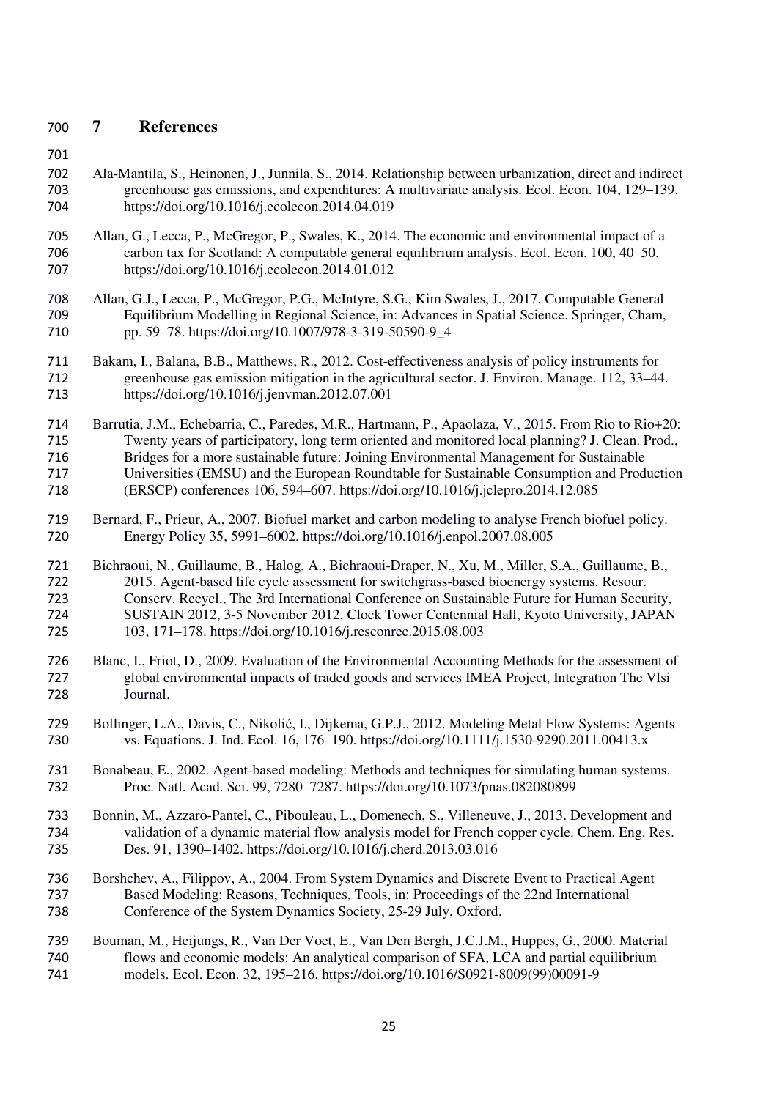#### **7 References**

- Ala-Mantila, S., Heinonen, J., Junnila, S., 2014. Relationship between urbanization, direct and indirect greenhouse gas emissions, and expenditures: A multivariate analysis. Ecol. Econ. 104, 129–139. https://doi.org/10.1016/j.ecolecon.2014.04.019
- Allan, G., Lecca, P., McGregor, P., Swales, K., 2014. The economic and environmental impact of a carbon tax for Scotland: A computable general equilibrium analysis. Ecol. Econ. 100, 40–50. https://doi.org/10.1016/j.ecolecon.2014.01.012
- Allan, G.J., Lecca, P., McGregor, P.G., McIntyre, S.G., Kim Swales, J., 2017. Computable General Equilibrium Modelling in Regional Science, in: Advances in Spatial Science. Springer, Cham, pp. 59–78. https://doi.org/10.1007/978-3-319-50590-9\_4
- Bakam, I., Balana, B.B., Matthews, R., 2012. Cost-effectiveness analysis of policy instruments for greenhouse gas emission mitigation in the agricultural sector. J. Environ. Manage. 112, 33–44. https://doi.org/10.1016/j.jenvman.2012.07.001
- Barrutia, J.M., Echebarria, C., Paredes, M.R., Hartmann, P., Apaolaza, V., 2015. From Rio to Rio+20: Twenty years of participatory, long term oriented and monitored local planning? J. Clean. Prod., Bridges for a more sustainable future: Joining Environmental Management for Sustainable Universities (EMSU) and the European Roundtable for Sustainable Consumption and Production (ERSCP) conferences 106, 594–607. https://doi.org/10.1016/j.jclepro.2014.12.085
- Bernard, F., Prieur, A., 2007. Biofuel market and carbon modeling to analyse French biofuel policy. Energy Policy 35, 5991–6002. https://doi.org/10.1016/j.enpol.2007.08.005
- Bichraoui, N., Guillaume, B., Halog, A., Bichraoui-Draper, N., Xu, M., Miller, S.A., Guillaume, B., 2015. Agent-based life cycle assessment for switchgrass-based bioenergy systems. Resour. Conserv. Recycl., The 3rd International Conference on Sustainable Future for Human Security, SUSTAIN 2012, 3-5 November 2012, Clock Tower Centennial Hall, Kyoto University, JAPAN 103, 171–178. https://doi.org/10.1016/j.resconrec.2015.08.003
- Blanc, I., Friot, D., 2009. Evaluation of the Environmental Accounting Methods for the assessment of global environmental impacts of traded goods and services IMEA Project, Integration The Vlsi Journal.
- Bollinger, L.A., Davis, C., Nikolić, I., Dijkema, G.P.J., 2012. Modeling Metal Flow Systems: Agents vs. Equations. J. Ind. Ecol. 16, 176–190. https://doi.org/10.1111/j.1530-9290.2011.00413.x
- Bonabeau, E., 2002. Agent-based modeling: Methods and techniques for simulating human systems. Proc. Natl. Acad. Sci. 99, 7280–7287. https://doi.org/10.1073/pnas.082080899
- Bonnin, M., Azzaro-Pantel, C., Pibouleau, L., Domenech, S., Villeneuve, J., 2013. Development and validation of a dynamic material flow analysis model for French copper cycle. Chem. Eng. Res. Des. 91, 1390–1402. https://doi.org/10.1016/j.cherd.2013.03.016
- Borshchev, A., Filippov, A., 2004. From System Dynamics and Discrete Event to Practical Agent Based Modeling: Reasons, Techniques, Tools, in: Proceedings of the 22nd International Conference of the System Dynamics Society, 25-29 July, Oxford.
- Bouman, M., Heijungs, R., Van Der Voet, E., Van Den Bergh, J.C.J.M., Huppes, G., 2000. Material flows and economic models: An analytical comparison of SFA, LCA and partial equilibrium models. Ecol. Econ. 32, 195–216. https://doi.org/10.1016/S0921-8009(99)00091-9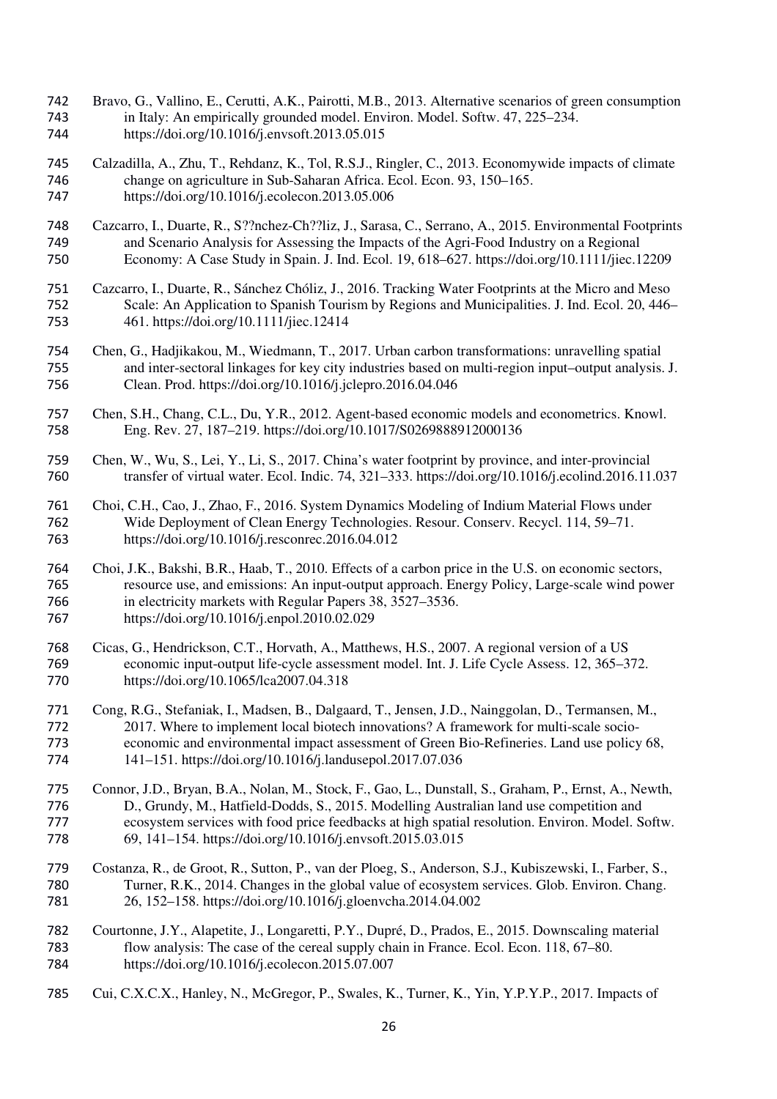- Bravo, G., Vallino, E., Cerutti, A.K., Pairotti, M.B., 2013. Alternative scenarios of green consumption in Italy: An empirically grounded model. Environ. Model. Softw. 47, 225–234. https://doi.org/10.1016/j.envsoft.2013.05.015
- Calzadilla, A., Zhu, T., Rehdanz, K., Tol, R.S.J., Ringler, C., 2013. Economywide impacts of climate change on agriculture in Sub-Saharan Africa. Ecol. Econ. 93, 150–165. https://doi.org/10.1016/j.ecolecon.2013.05.006
- Cazcarro, I., Duarte, R., S??nchez-Ch??liz, J., Sarasa, C., Serrano, A., 2015. Environmental Footprints and Scenario Analysis for Assessing the Impacts of the Agri-Food Industry on a Regional Economy: A Case Study in Spain. J. Ind. Ecol. 19, 618–627. https://doi.org/10.1111/jiec.12209
- Cazcarro, I., Duarte, R., Sánchez Chóliz, J., 2016. Tracking Water Footprints at the Micro and Meso Scale: An Application to Spanish Tourism by Regions and Municipalities. J. Ind. Ecol. 20, 446– 461. https://doi.org/10.1111/jiec.12414
- Chen, G., Hadjikakou, M., Wiedmann, T., 2017. Urban carbon transformations: unravelling spatial and inter-sectoral linkages for key city industries based on multi-region input–output analysis. J. Clean. Prod. https://doi.org/10.1016/j.jclepro.2016.04.046
- Chen, S.H., Chang, C.L., Du, Y.R., 2012. Agent-based economic models and econometrics. Knowl. Eng. Rev. 27, 187–219. https://doi.org/10.1017/S0269888912000136
- Chen, W., Wu, S., Lei, Y., Li, S., 2017. China's water footprint by province, and inter-provincial transfer of virtual water. Ecol. Indic. 74, 321–333. https://doi.org/10.1016/j.ecolind.2016.11.037
- Choi, C.H., Cao, J., Zhao, F., 2016. System Dynamics Modeling of Indium Material Flows under Wide Deployment of Clean Energy Technologies. Resour. Conserv. Recycl. 114, 59–71. https://doi.org/10.1016/j.resconrec.2016.04.012
- Choi, J.K., Bakshi, B.R., Haab, T., 2010. Effects of a carbon price in the U.S. on economic sectors, resource use, and emissions: An input-output approach. Energy Policy, Large-scale wind power in electricity markets with Regular Papers 38, 3527–3536. https://doi.org/10.1016/j.enpol.2010.02.029
- Cicas, G., Hendrickson, C.T., Horvath, A., Matthews, H.S., 2007. A regional version of a US economic input-output life-cycle assessment model. Int. J. Life Cycle Assess. 12, 365–372. https://doi.org/10.1065/lca2007.04.318
- Cong, R.G., Stefaniak, I., Madsen, B., Dalgaard, T., Jensen, J.D., Nainggolan, D., Termansen, M., 2017. Where to implement local biotech innovations? A framework for multi-scale socio-economic and environmental impact assessment of Green Bio-Refineries. Land use policy 68, 141–151. https://doi.org/10.1016/j.landusepol.2017.07.036
- Connor, J.D., Bryan, B.A., Nolan, M., Stock, F., Gao, L., Dunstall, S., Graham, P., Ernst, A., Newth, D., Grundy, M., Hatfield-Dodds, S., 2015. Modelling Australian land use competition and ecosystem services with food price feedbacks at high spatial resolution. Environ. Model. Softw. 69, 141–154. https://doi.org/10.1016/j.envsoft.2015.03.015
- Costanza, R., de Groot, R., Sutton, P., van der Ploeg, S., Anderson, S.J., Kubiszewski, I., Farber, S., Turner, R.K., 2014. Changes in the global value of ecosystem services. Glob. Environ. Chang. 26, 152–158. https://doi.org/10.1016/j.gloenvcha.2014.04.002
- Courtonne, J.Y., Alapetite, J., Longaretti, P.Y., Dupré, D., Prados, E., 2015. Downscaling material flow analysis: The case of the cereal supply chain in France. Ecol. Econ. 118, 67–80. https://doi.org/10.1016/j.ecolecon.2015.07.007
- Cui, C.X.C.X., Hanley, N., McGregor, P., Swales, K., Turner, K., Yin, Y.P.Y.P., 2017. Impacts of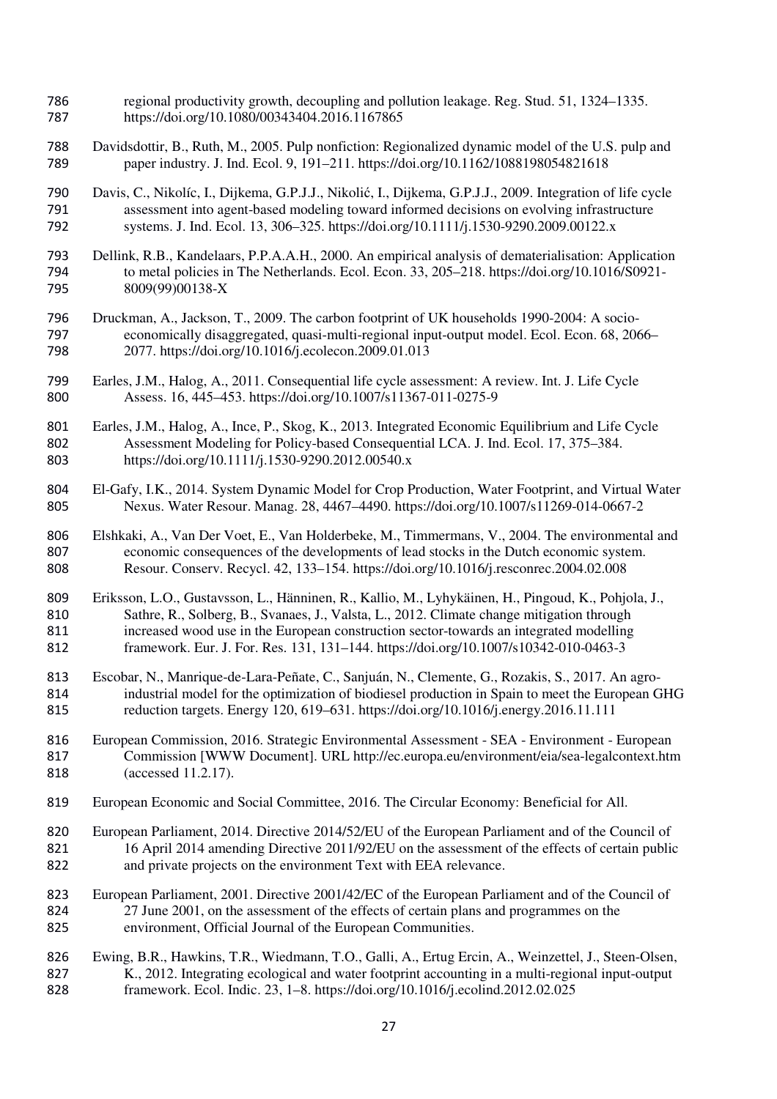- regional productivity growth, decoupling and pollution leakage. Reg. Stud. 51, 1324–1335. https://doi.org/10.1080/00343404.2016.1167865
- Davidsdottir, B., Ruth, M., 2005. Pulp nonfiction: Regionalized dynamic model of the U.S. pulp and paper industry. J. Ind. Ecol. 9, 191–211. https://doi.org/10.1162/1088198054821618
- Davis, C., Nikolíc, I., Dijkema, G.P.J.J., Nikolić, I., Dijkema, G.P.J.J., 2009. Integration of life cycle assessment into agent-based modeling toward informed decisions on evolving infrastructure systems. J. Ind. Ecol. 13, 306–325. https://doi.org/10.1111/j.1530-9290.2009.00122.x
- Dellink, R.B., Kandelaars, P.P.A.A.H., 2000. An empirical analysis of dematerialisation: Application to metal policies in The Netherlands. Ecol. Econ. 33, 205–218. https://doi.org/10.1016/S0921- 8009(99)00138-X
- Druckman, A., Jackson, T., 2009. The carbon footprint of UK households 1990-2004: A socio-economically disaggregated, quasi-multi-regional input-output model. Ecol. Econ. 68, 2066– 2077. https://doi.org/10.1016/j.ecolecon.2009.01.013
- Earles, J.M., Halog, A., 2011. Consequential life cycle assessment: A review. Int. J. Life Cycle Assess. 16, 445–453. https://doi.org/10.1007/s11367-011-0275-9
- Earles, J.M., Halog, A., Ince, P., Skog, K., 2013. Integrated Economic Equilibrium and Life Cycle Assessment Modeling for Policy-based Consequential LCA. J. Ind. Ecol. 17, 375–384. https://doi.org/10.1111/j.1530-9290.2012.00540.x
- El-Gafy, I.K., 2014. System Dynamic Model for Crop Production, Water Footprint, and Virtual Water Nexus. Water Resour. Manag. 28, 4467–4490. https://doi.org/10.1007/s11269-014-0667-2
- Elshkaki, A., Van Der Voet, E., Van Holderbeke, M., Timmermans, V., 2004. The environmental and economic consequences of the developments of lead stocks in the Dutch economic system. Resour. Conserv. Recycl. 42, 133–154. https://doi.org/10.1016/j.resconrec.2004.02.008
- Eriksson, L.O., Gustavsson, L., Hänninen, R., Kallio, M., Lyhykäinen, H., Pingoud, K., Pohjola, J., Sathre, R., Solberg, B., Svanaes, J., Valsta, L., 2012. Climate change mitigation through increased wood use in the European construction sector-towards an integrated modelling framework. Eur. J. For. Res. 131, 131–144. https://doi.org/10.1007/s10342-010-0463-3
- Escobar, N., Manrique-de-Lara-Peñate, C., Sanjuán, N., Clemente, G., Rozakis, S., 2017. An agro-industrial model for the optimization of biodiesel production in Spain to meet the European GHG reduction targets. Energy 120, 619–631. https://doi.org/10.1016/j.energy.2016.11.111
- European Commission, 2016. Strategic Environmental Assessment SEA Environment European Commission [WWW Document]. URL http://ec.europa.eu/environment/eia/sea-legalcontext.htm (accessed 11.2.17).
- European Economic and Social Committee, 2016. The Circular Economy: Beneficial for All.
- European Parliament, 2014. Directive 2014/52/EU of the European Parliament and of the Council of 821 16 April 2014 amending Directive 2011/92/EU on the assessment of the effects of certain public and private projects on the environment Text with EEA relevance.
- European Parliament, 2001. Directive 2001/42/EC of the European Parliament and of the Council of 27 June 2001, on the assessment of the effects of certain plans and programmes on the environment, Official Journal of the European Communities.
- Ewing, B.R., Hawkins, T.R., Wiedmann, T.O., Galli, A., Ertug Ercin, A., Weinzettel, J., Steen-Olsen, K., 2012. Integrating ecological and water footprint accounting in a multi-regional input-output framework. Ecol. Indic. 23, 1–8. https://doi.org/10.1016/j.ecolind.2012.02.025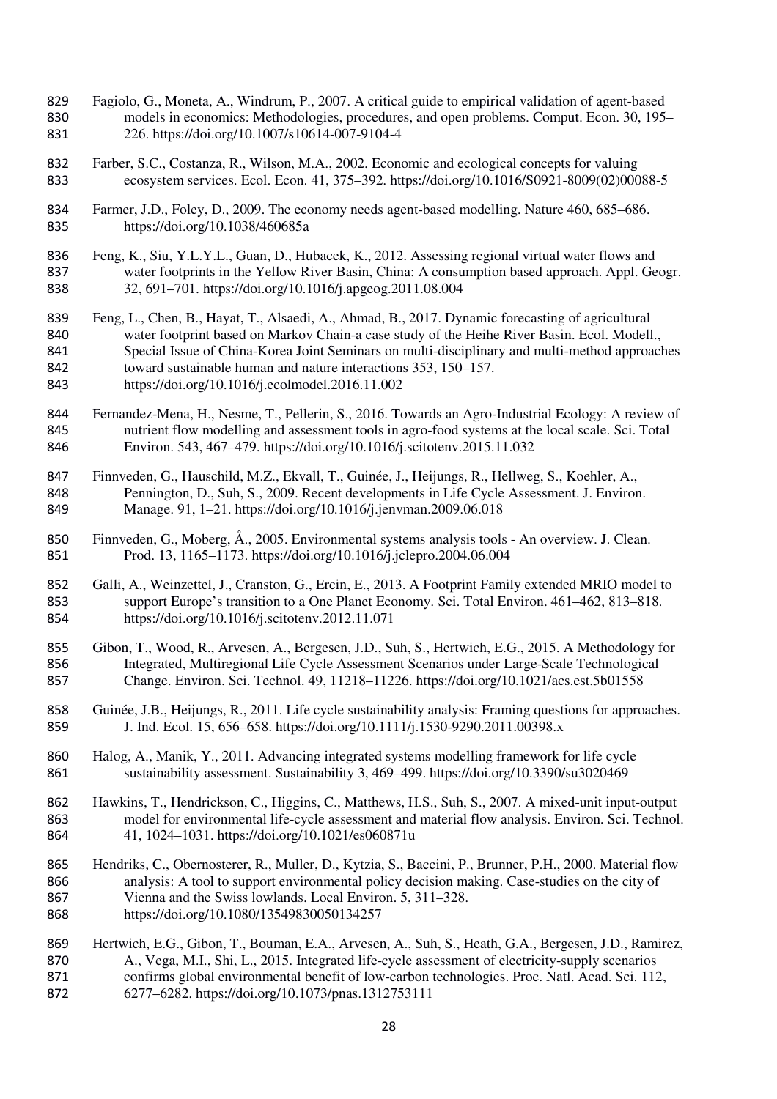- Fagiolo, G., Moneta, A., Windrum, P., 2007. A critical guide to empirical validation of agent-based models in economics: Methodologies, procedures, and open problems. Comput. Econ. 30, 195– 226. https://doi.org/10.1007/s10614-007-9104-4
- Farber, S.C., Costanza, R., Wilson, M.A., 2002. Economic and ecological concepts for valuing ecosystem services. Ecol. Econ. 41, 375–392. https://doi.org/10.1016/S0921-8009(02)00088-5
- Farmer, J.D., Foley, D., 2009. The economy needs agent-based modelling. Nature 460, 685–686. https://doi.org/10.1038/460685a
- Feng, K., Siu, Y.L.Y.L., Guan, D., Hubacek, K., 2012. Assessing regional virtual water flows and water footprints in the Yellow River Basin, China: A consumption based approach. Appl. Geogr. 32, 691–701. https://doi.org/10.1016/j.apgeog.2011.08.004
- Feng, L., Chen, B., Hayat, T., Alsaedi, A., Ahmad, B., 2017. Dynamic forecasting of agricultural water footprint based on Markov Chain-a case study of the Heihe River Basin. Ecol. Modell., Special Issue of China-Korea Joint Seminars on multi-disciplinary and multi-method approaches toward sustainable human and nature interactions 353, 150–157. https://doi.org/10.1016/j.ecolmodel.2016.11.002
- Fernandez-Mena, H., Nesme, T., Pellerin, S., 2016. Towards an Agro-Industrial Ecology: A review of nutrient flow modelling and assessment tools in agro-food systems at the local scale. Sci. Total Environ. 543, 467–479. https://doi.org/10.1016/j.scitotenv.2015.11.032
- Finnveden, G., Hauschild, M.Z., Ekvall, T., Guinée, J., Heijungs, R., Hellweg, S., Koehler, A., Pennington, D., Suh, S., 2009. Recent developments in Life Cycle Assessment. J. Environ. Manage. 91, 1–21. https://doi.org/10.1016/j.jenvman.2009.06.018
- Finnveden, G., Moberg, Å., 2005. Environmental systems analysis tools An overview. J. Clean. Prod. 13, 1165–1173. https://doi.org/10.1016/j.jclepro.2004.06.004
- Galli, A., Weinzettel, J., Cranston, G., Ercin, E., 2013. A Footprint Family extended MRIO model to support Europe's transition to a One Planet Economy. Sci. Total Environ. 461–462, 813–818. https://doi.org/10.1016/j.scitotenv.2012.11.071
- Gibon, T., Wood, R., Arvesen, A., Bergesen, J.D., Suh, S., Hertwich, E.G., 2015. A Methodology for Integrated, Multiregional Life Cycle Assessment Scenarios under Large-Scale Technological Change. Environ. Sci. Technol. 49, 11218–11226. https://doi.org/10.1021/acs.est.5b01558
- Guinée, J.B., Heijungs, R., 2011. Life cycle sustainability analysis: Framing questions for approaches. J. Ind. Ecol. 15, 656–658. https://doi.org/10.1111/j.1530-9290.2011.00398.x
- Halog, A., Manik, Y., 2011. Advancing integrated systems modelling framework for life cycle sustainability assessment. Sustainability 3, 469–499. https://doi.org/10.3390/su3020469
- Hawkins, T., Hendrickson, C., Higgins, C., Matthews, H.S., Suh, S., 2007. A mixed-unit input-output model for environmental life-cycle assessment and material flow analysis. Environ. Sci. Technol. 41, 1024–1031. https://doi.org/10.1021/es060871u
- Hendriks, C., Obernosterer, R., Muller, D., Kytzia, S., Baccini, P., Brunner, P.H., 2000. Material flow analysis: A tool to support environmental policy decision making. Case-studies on the city of Vienna and the Swiss lowlands. Local Environ. 5, 311–328. https://doi.org/10.1080/13549830050134257
- Hertwich, E.G., Gibon, T., Bouman, E.A., Arvesen, A., Suh, S., Heath, G.A., Bergesen, J.D., Ramirez, A., Vega, M.I., Shi, L., 2015. Integrated life-cycle assessment of electricity-supply scenarios confirms global environmental benefit of low-carbon technologies. Proc. Natl. Acad. Sci. 112, 6277–6282. https://doi.org/10.1073/pnas.1312753111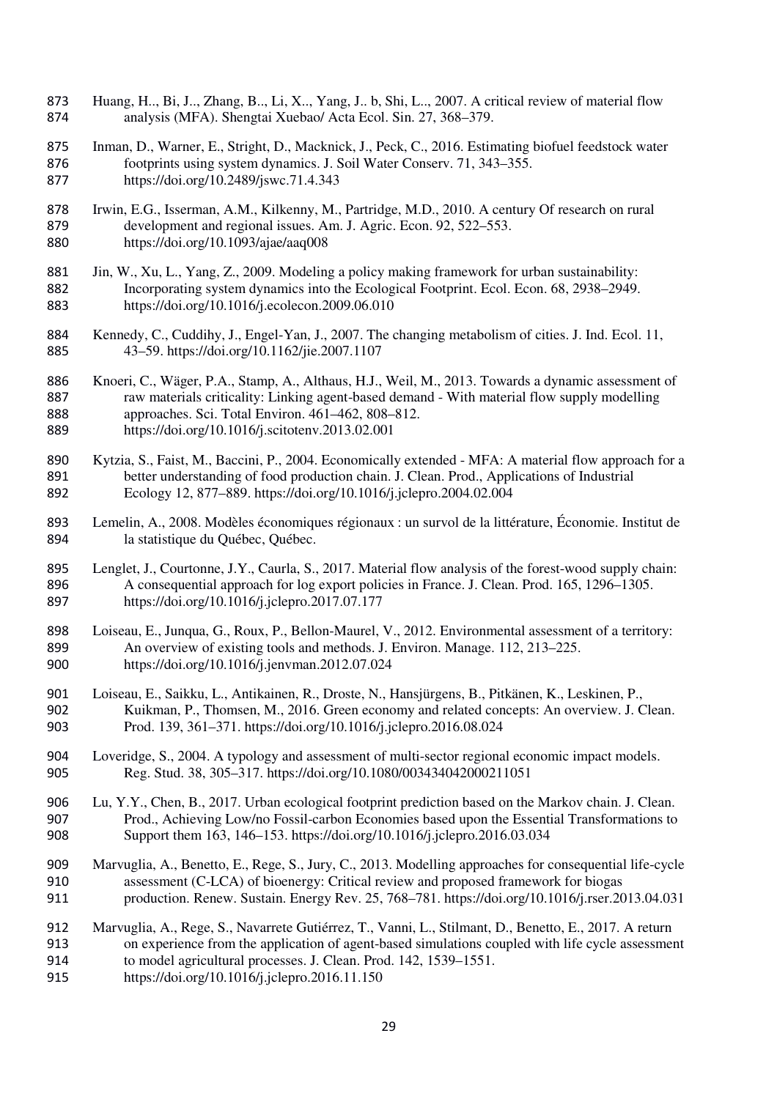- Huang, H.., Bi, J.., Zhang, B.., Li, X.., Yang, J.. b, Shi, L.., 2007. A critical review of material flow analysis (MFA). Shengtai Xuebao/ Acta Ecol. Sin. 27, 368–379.
- Inman, D., Warner, E., Stright, D., Macknick, J., Peck, C., 2016. Estimating biofuel feedstock water footprints using system dynamics. J. Soil Water Conserv. 71, 343–355. https://doi.org/10.2489/jswc.71.4.343
- Irwin, E.G., Isserman, A.M., Kilkenny, M., Partridge, M.D., 2010. A century Of research on rural development and regional issues. Am. J. Agric. Econ. 92, 522–553. https://doi.org/10.1093/ajae/aaq008
- Jin, W., Xu, L., Yang, Z., 2009. Modeling a policy making framework for urban sustainability: Incorporating system dynamics into the Ecological Footprint. Ecol. Econ. 68, 2938–2949. https://doi.org/10.1016/j.ecolecon.2009.06.010
- Kennedy, C., Cuddihy, J., Engel-Yan, J., 2007. The changing metabolism of cities. J. Ind. Ecol. 11, 43–59. https://doi.org/10.1162/jie.2007.1107
- Knoeri, C., Wäger, P.A., Stamp, A., Althaus, H.J., Weil, M., 2013. Towards a dynamic assessment of raw materials criticality: Linking agent-based demand - With material flow supply modelling approaches. Sci. Total Environ. 461–462, 808–812. https://doi.org/10.1016/j.scitotenv.2013.02.001
- Kytzia, S., Faist, M., Baccini, P., 2004. Economically extended MFA: A material flow approach for a better understanding of food production chain. J. Clean. Prod., Applications of Industrial Ecology 12, 877–889. https://doi.org/10.1016/j.jclepro.2004.02.004
- Lemelin, A., 2008. Modèles économiques régionaux : un survol de la littérature, Économie. Institut de la statistique du Québec, Québec.
- 895 Lenglet, J., Courtonne, J.Y., Caurla, S., 2017. Material flow analysis of the forest-wood supply chain: A consequential approach for log export policies in France. J. Clean. Prod. 165, 1296–1305. https://doi.org/10.1016/j.jclepro.2017.07.177
- Loiseau, E., Junqua, G., Roux, P., Bellon-Maurel, V., 2012. Environmental assessment of a territory: An overview of existing tools and methods. J. Environ. Manage. 112, 213–225. https://doi.org/10.1016/j.jenvman.2012.07.024
- Loiseau, E., Saikku, L., Antikainen, R., Droste, N., Hansjürgens, B., Pitkänen, K., Leskinen, P., Kuikman, P., Thomsen, M., 2016. Green economy and related concepts: An overview. J. Clean. Prod. 139, 361–371. https://doi.org/10.1016/j.jclepro.2016.08.024
- Loveridge, S., 2004. A typology and assessment of multi-sector regional economic impact models. Reg. Stud. 38, 305–317. https://doi.org/10.1080/003434042000211051
- Lu, Y.Y., Chen, B., 2017. Urban ecological footprint prediction based on the Markov chain. J. Clean. Prod., Achieving Low/no Fossil-carbon Economies based upon the Essential Transformations to Support them 163, 146–153. https://doi.org/10.1016/j.jclepro.2016.03.034
- Marvuglia, A., Benetto, E., Rege, S., Jury, C., 2013. Modelling approaches for consequential life-cycle assessment (C-LCA) of bioenergy: Critical review and proposed framework for biogas production. Renew. Sustain. Energy Rev. 25, 768–781. https://doi.org/10.1016/j.rser.2013.04.031
- Marvuglia, A., Rege, S., Navarrete Gutiérrez, T., Vanni, L., Stilmant, D., Benetto, E., 2017. A return on experience from the application of agent-based simulations coupled with life cycle assessment to model agricultural processes. J. Clean. Prod. 142, 1539–1551.
- https://doi.org/10.1016/j.jclepro.2016.11.150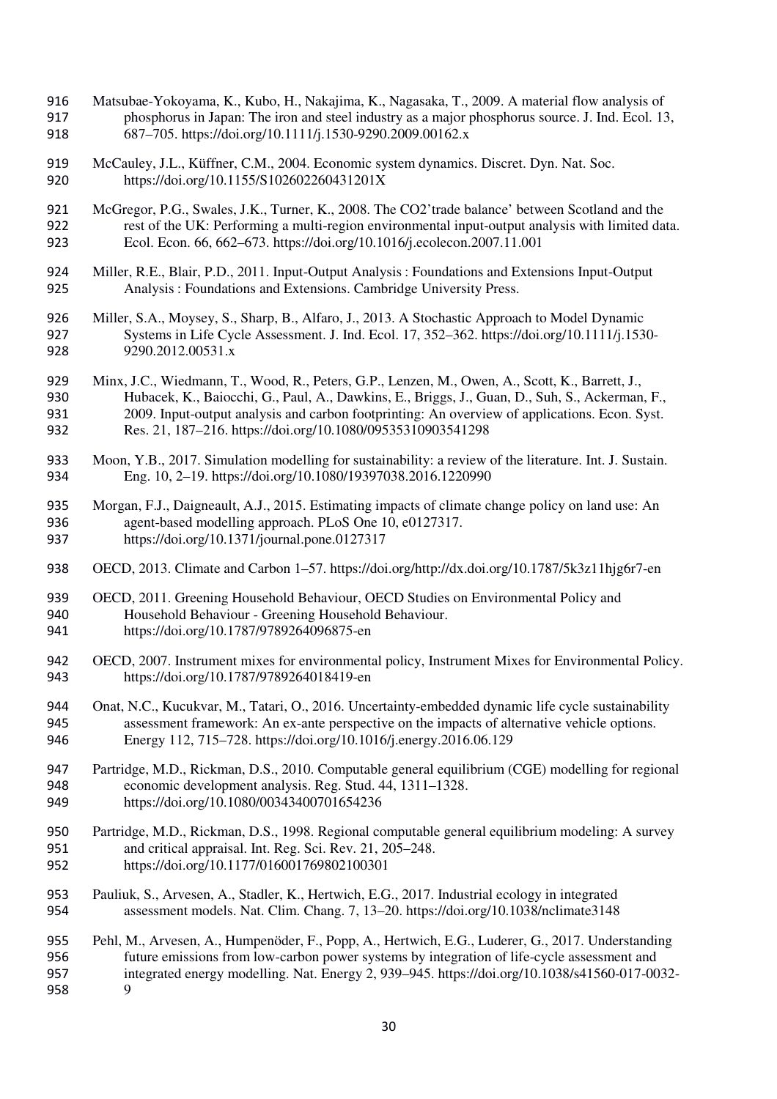- Matsubae-Yokoyama, K., Kubo, H., Nakajima, K., Nagasaka, T., 2009. A material flow analysis of phosphorus in Japan: The iron and steel industry as a major phosphorus source. J. Ind. Ecol. 13, 687–705. https://doi.org/10.1111/j.1530-9290.2009.00162.x
- McCauley, J.L., Küffner, C.M., 2004. Economic system dynamics. Discret. Dyn. Nat. Soc. https://doi.org/10.1155/S102602260431201X
- McGregor, P.G., Swales, J.K., Turner, K., 2008. The CO2'trade balance' between Scotland and the rest of the UK: Performing a multi-region environmental input-output analysis with limited data. Ecol. Econ. 66, 662–673. https://doi.org/10.1016/j.ecolecon.2007.11.001
- Miller, R.E., Blair, P.D., 2011. Input-Output Analysis : Foundations and Extensions Input-Output Analysis : Foundations and Extensions. Cambridge University Press.
- Miller, S.A., Moysey, S., Sharp, B., Alfaro, J., 2013. A Stochastic Approach to Model Dynamic Systems in Life Cycle Assessment. J. Ind. Ecol. 17, 352–362. https://doi.org/10.1111/j.1530- 9290.2012.00531.x
- Minx, J.C., Wiedmann, T., Wood, R., Peters, G.P., Lenzen, M., Owen, A., Scott, K., Barrett, J., Hubacek, K., Baiocchi, G., Paul, A., Dawkins, E., Briggs, J., Guan, D., Suh, S., Ackerman, F., 2009. Input-output analysis and carbon footprinting: An overview of applications. Econ. Syst. Res. 21, 187–216. https://doi.org/10.1080/09535310903541298
- Moon, Y.B., 2017. Simulation modelling for sustainability: a review of the literature. Int. J. Sustain. Eng. 10, 2–19. https://doi.org/10.1080/19397038.2016.1220990
- Morgan, F.J., Daigneault, A.J., 2015. Estimating impacts of climate change policy on land use: An agent-based modelling approach. PLoS One 10, e0127317. https://doi.org/10.1371/journal.pone.0127317
- 938 OECD, 2013. Climate and Carbon 1–57. https://doi.org/http://dx.doi.org/10.1787/5k3z11hjg6r7-en
- OECD, 2011. Greening Household Behaviour, OECD Studies on Environmental Policy and Household Behaviour - Greening Household Behaviour. https://doi.org/10.1787/9789264096875-en
- OECD, 2007. Instrument mixes for environmental policy, Instrument Mixes for Environmental Policy. https://doi.org/10.1787/9789264018419-en
- Onat, N.C., Kucukvar, M., Tatari, O., 2016. Uncertainty-embedded dynamic life cycle sustainability assessment framework: An ex-ante perspective on the impacts of alternative vehicle options. Energy 112, 715–728. https://doi.org/10.1016/j.energy.2016.06.129
- Partridge, M.D., Rickman, D.S., 2010. Computable general equilibrium (CGE) modelling for regional economic development analysis. Reg. Stud. 44, 1311–1328. https://doi.org/10.1080/00343400701654236
- Partridge, M.D., Rickman, D.S., 1998. Regional computable general equilibrium modeling: A survey and critical appraisal. Int. Reg. Sci. Rev. 21, 205–248. https://doi.org/10.1177/016001769802100301
- Pauliuk, S., Arvesen, A., Stadler, K., Hertwich, E.G., 2017. Industrial ecology in integrated assessment models. Nat. Clim. Chang. 7, 13–20. https://doi.org/10.1038/nclimate3148
- Pehl, M., Arvesen, A., Humpenöder, F., Popp, A., Hertwich, E.G., Luderer, G., 2017. Understanding future emissions from low-carbon power systems by integration of life-cycle assessment and integrated energy modelling. Nat. Energy 2, 939–945. https://doi.org/10.1038/s41560-017-0032- 9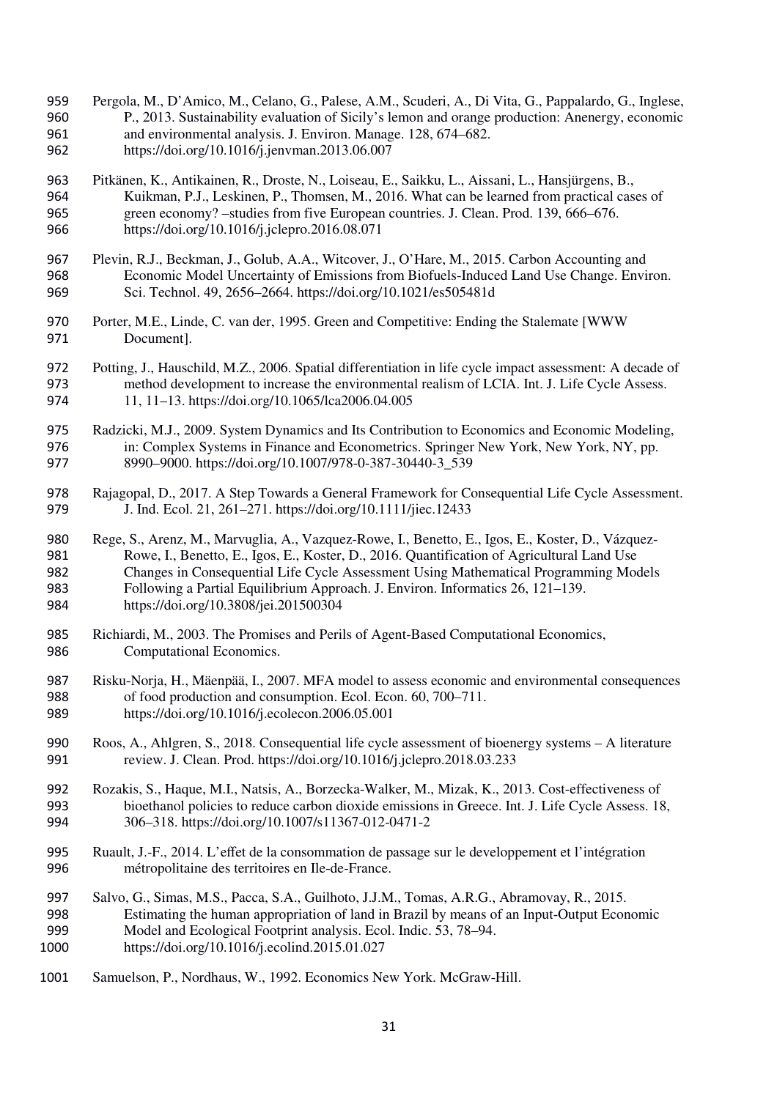- Pergola, M., D'Amico, M., Celano, G., Palese, A.M., Scuderi, A., Di Vita, G., Pappalardo, G., Inglese, P., 2013. Sustainability evaluation of Sicily's lemon and orange production: Anenergy, economic and environmental analysis. J. Environ. Manage. 128, 674–682. https://doi.org/10.1016/j.jenvman.2013.06.007
- Pitkänen, K., Antikainen, R., Droste, N., Loiseau, E., Saikku, L., Aissani, L., Hansjürgens, B., Kuikman, P.J., Leskinen, P., Thomsen, M., 2016. What can be learned from practical cases of green economy? –studies from five European countries. J. Clean. Prod. 139, 666–676. https://doi.org/10.1016/j.jclepro.2016.08.071
- Plevin, R.J., Beckman, J., Golub, A.A., Witcover, J., O'Hare, M., 2015. Carbon Accounting and Economic Model Uncertainty of Emissions from Biofuels-Induced Land Use Change. Environ. Sci. Technol. 49, 2656–2664. https://doi.org/10.1021/es505481d
- Porter, M.E., Linde, C. van der, 1995. Green and Competitive: Ending the Stalemate [WWW Document].
- Potting, J., Hauschild, M.Z., 2006. Spatial differentiation in life cycle impact assessment: A decade of method development to increase the environmental realism of LCIA. Int. J. Life Cycle Assess. 11, 11–13. https://doi.org/10.1065/lca2006.04.005
- Radzicki, M.J., 2009. System Dynamics and Its Contribution to Economics and Economic Modeling, in: Complex Systems in Finance and Econometrics. Springer New York, New York, NY, pp. 977 8990–9000. https://doi.org/10.1007/978-0-387-30440-3\_539
- Rajagopal, D., 2017. A Step Towards a General Framework for Consequential Life Cycle Assessment. J. Ind. Ecol. 21, 261–271. https://doi.org/10.1111/jiec.12433
- Rege, S., Arenz, M., Marvuglia, A., Vazquez-Rowe, I., Benetto, E., Igos, E., Koster, D., Vázquez-Rowe, I., Benetto, E., Igos, E., Koster, D., 2016. Quantification of Agricultural Land Use Changes in Consequential Life Cycle Assessment Using Mathematical Programming Models Following a Partial Equilibrium Approach. J. Environ. Informatics 26, 121–139.
- https://doi.org/10.3808/jei.201500304
- Richiardi, M., 2003. The Promises and Perils of Agent-Based Computational Economics, Computational Economics.
- Risku-Norja, H., Mäenpää, I., 2007. MFA model to assess economic and environmental consequences 988 of food production and consumption. Ecol. Econ. 60, 700–711. https://doi.org/10.1016/j.ecolecon.2006.05.001
- Roos, A., Ahlgren, S., 2018. Consequential life cycle assessment of bioenergy systems A literature review. J. Clean. Prod. https://doi.org/10.1016/j.jclepro.2018.03.233
- Rozakis, S., Haque, M.I., Natsis, A., Borzecka-Walker, M., Mizak, K., 2013. Cost-effectiveness of bioethanol policies to reduce carbon dioxide emissions in Greece. Int. J. Life Cycle Assess. 18, 306–318. https://doi.org/10.1007/s11367-012-0471-2
- Ruault, J.-F., 2014. L'effet de la consommation de passage sur le developpement et l'intégration métropolitaine des territoires en Ile-de-France.
- Salvo, G., Simas, M.S., Pacca, S.A., Guilhoto, J.J.M., Tomas, A.R.G., Abramovay, R., 2015. Estimating the human appropriation of land in Brazil by means of an Input-Output Economic Model and Ecological Footprint analysis. Ecol. Indic. 53, 78–94. https://doi.org/10.1016/j.ecolind.2015.01.027
- Samuelson, P., Nordhaus, W., 1992. Economics New York. McGraw-Hill.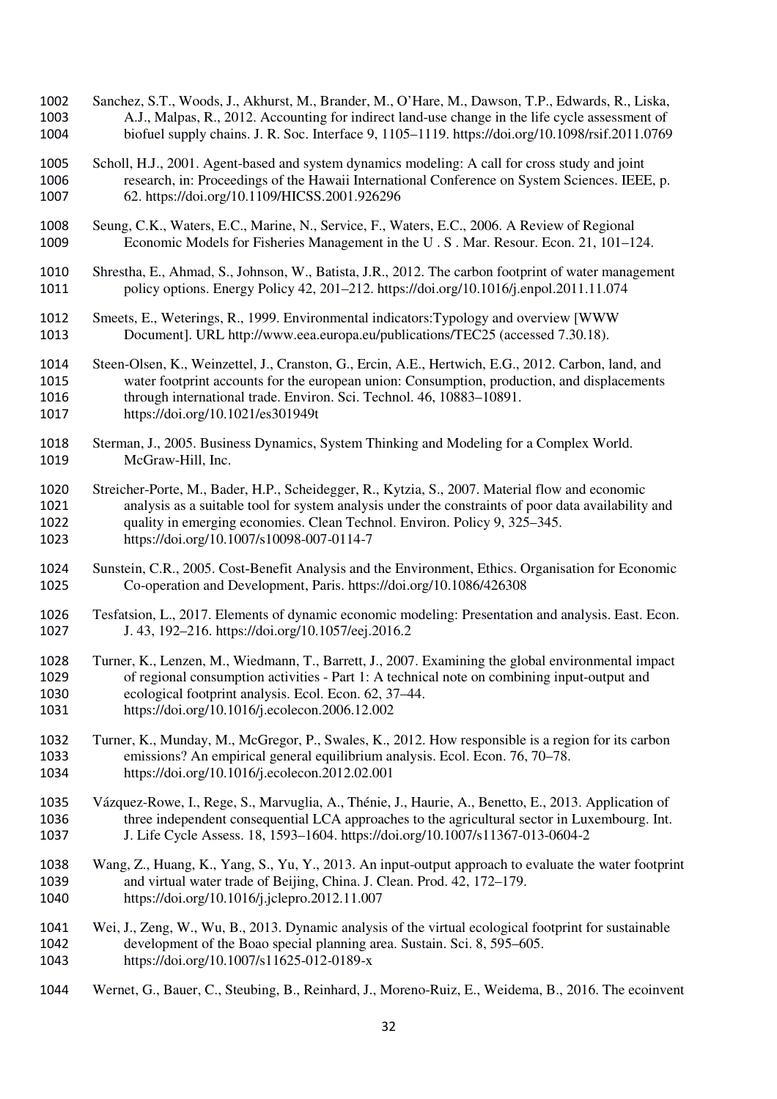- Sanchez, S.T., Woods, J., Akhurst, M., Brander, M., O'Hare, M., Dawson, T.P., Edwards, R., Liska, A.J., Malpas, R., 2012. Accounting for indirect land-use change in the life cycle assessment of biofuel supply chains. J. R. Soc. Interface 9, 1105–1119. https://doi.org/10.1098/rsif.2011.0769
- Scholl, H.J., 2001. Agent-based and system dynamics modeling: A call for cross study and joint research, in: Proceedings of the Hawaii International Conference on System Sciences. IEEE, p. 62. https://doi.org/10.1109/HICSS.2001.926296
- Seung, C.K., Waters, E.C., Marine, N., Service, F., Waters, E.C., 2006. A Review of Regional Economic Models for Fisheries Management in the U . S . Mar. Resour. Econ. 21, 101–124.
- Shrestha, E., Ahmad, S., Johnson, W., Batista, J.R., 2012. The carbon footprint of water management policy options. Energy Policy 42, 201–212. https://doi.org/10.1016/j.enpol.2011.11.074
- Smeets, E., Weterings, R., 1999. Environmental indicators:Typology and overview [WWW Document]. URL http://www.eea.europa.eu/publications/TEC25 (accessed 7.30.18).
- Steen-Olsen, K., Weinzettel, J., Cranston, G., Ercin, A.E., Hertwich, E.G., 2012. Carbon, land, and water footprint accounts for the european union: Consumption, production, and displacements 1016 through international trade. Environ. Sci. Technol. 46, 10883–10891. https://doi.org/10.1021/es301949t
- Sterman, J., 2005. Business Dynamics, System Thinking and Modeling for a Complex World. McGraw-Hill, Inc.
- Streicher-Porte, M., Bader, H.P., Scheidegger, R., Kytzia, S., 2007. Material flow and economic analysis as a suitable tool for system analysis under the constraints of poor data availability and quality in emerging economies. Clean Technol. Environ. Policy 9, 325–345. https://doi.org/10.1007/s10098-007-0114-7
- 1024 Sunstein, C.R., 2005. Cost-Benefit Analysis and the Environment, Ethics. Organisation for Economic Co-operation and Development, Paris. https://doi.org/10.1086/426308
- Tesfatsion, L., 2017. Elements of dynamic economic modeling: Presentation and analysis. East. Econ. J. 43, 192–216. https://doi.org/10.1057/eej.2016.2
- Turner, K., Lenzen, M., Wiedmann, T., Barrett, J., 2007. Examining the global environmental impact of regional consumption activities - Part 1: A technical note on combining input-output and ecological footprint analysis. Ecol. Econ. 62, 37–44. https://doi.org/10.1016/j.ecolecon.2006.12.002
- Turner, K., Munday, M., McGregor, P., Swales, K., 2012. How responsible is a region for its carbon emissions? An empirical general equilibrium analysis. Ecol. Econ. 76, 70–78. https://doi.org/10.1016/j.ecolecon.2012.02.001
- Vázquez-Rowe, I., Rege, S., Marvuglia, A., Thénie, J., Haurie, A., Benetto, E., 2013. Application of three independent consequential LCA approaches to the agricultural sector in Luxembourg. Int. J. Life Cycle Assess. 18, 1593–1604. https://doi.org/10.1007/s11367-013-0604-2
- Wang, Z., Huang, K., Yang, S., Yu, Y., 2013. An input-output approach to evaluate the water footprint and virtual water trade of Beijing, China. J. Clean. Prod. 42, 172–179. https://doi.org/10.1016/j.jclepro.2012.11.007
- Wei, J., Zeng, W., Wu, B., 2013. Dynamic analysis of the virtual ecological footprint for sustainable development of the Boao special planning area. Sustain. Sci. 8, 595–605. https://doi.org/10.1007/s11625-012-0189-x
- Wernet, G., Bauer, C., Steubing, B., Reinhard, J., Moreno-Ruiz, E., Weidema, B., 2016. The ecoinvent